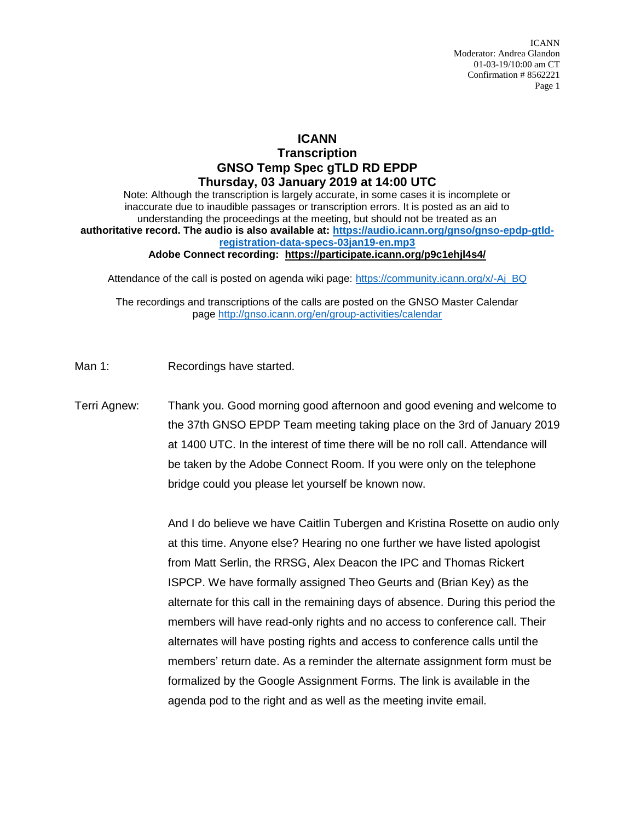## **ICANN Transcription GNSO Temp Spec gTLD RD EPDP Thursday, 03 January 2019 at 14:00 UTC**

Note: Although the transcription is largely accurate, in some cases it is incomplete or inaccurate due to inaudible passages or transcription errors. It is posted as an aid to understanding the proceedings at the meeting, but should not be treated as an **authoritative record. The audio is also available at: [https://audio.icann.org/gnso/gnso-epdp-gtld](https://audio.icann.org/gnso/gnso-epdp-gtld-registration-data-specs-03jan19-en.mp3)[registration-data-specs-03jan19-en.mp3](https://audio.icann.org/gnso/gnso-epdp-gtld-registration-data-specs-03jan19-en.mp3) Adobe Connect recording: [https://participate.icann.org/p9c1ehjl4s4/](https://participate.icann.org/p9c1ehjl4s4/?OWASP_CSRFTOKEN=42cbcfdcadb04b8a16d3166e25b78566ebd48ee65b35b0f8f8a9929d5b5b9f47)**

Attendance of the call is posted on agenda wiki page: [https://community.icann.org/x/-Aj\\_BQ](https://community.icann.org/x/-Aj_BQ)

The recordings and transcriptions of the calls are posted on the GNSO Master Calendar page<http://gnso.icann.org/en/group-activities/calendar>

- Man 1: Recordings have started.
- Terri Agnew: Thank you. Good morning good afternoon and good evening and welcome to the 37th GNSO EPDP Team meeting taking place on the 3rd of January 2019 at 1400 UTC. In the interest of time there will be no roll call. Attendance will be taken by the Adobe Connect Room. If you were only on the telephone bridge could you please let yourself be known now.

And I do believe we have Caitlin Tubergen and Kristina Rosette on audio only at this time. Anyone else? Hearing no one further we have listed apologist from Matt Serlin, the RRSG, Alex Deacon the IPC and Thomas Rickert ISPCP. We have formally assigned Theo Geurts and (Brian Key) as the alternate for this call in the remaining days of absence. During this period the members will have read-only rights and no access to conference call. Their alternates will have posting rights and access to conference calls until the members' return date. As a reminder the alternate assignment form must be formalized by the Google Assignment Forms. The link is available in the agenda pod to the right and as well as the meeting invite email.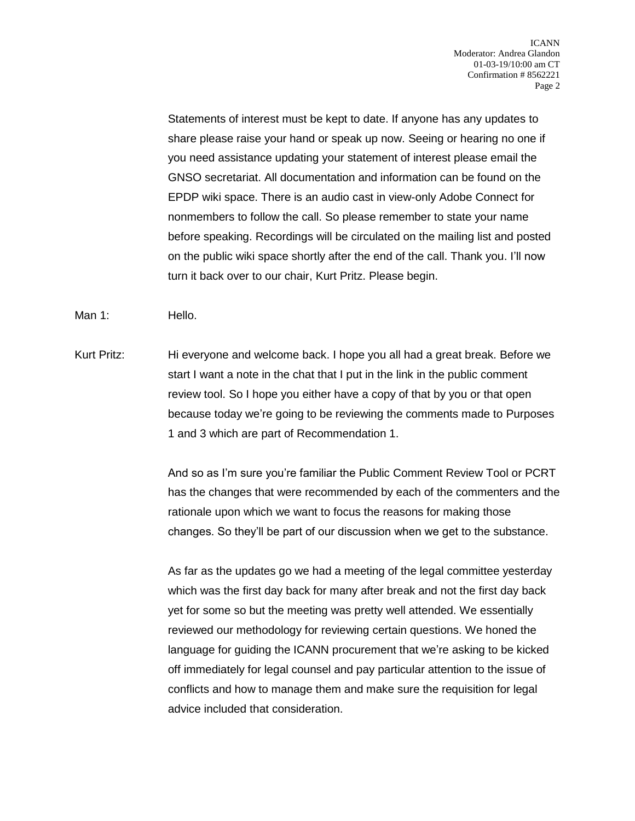Statements of interest must be kept to date. If anyone has any updates to share please raise your hand or speak up now. Seeing or hearing no one if you need assistance updating your statement of interest please email the GNSO secretariat. All documentation and information can be found on the EPDP wiki space. There is an audio cast in view-only Adobe Connect for nonmembers to follow the call. So please remember to state your name before speaking. Recordings will be circulated on the mailing list and posted on the public wiki space shortly after the end of the call. Thank you. I'll now turn it back over to our chair, Kurt Pritz. Please begin.

Man 1: Hello.

Kurt Pritz: Hi everyone and welcome back. I hope you all had a great break. Before we start I want a note in the chat that I put in the link in the public comment review tool. So I hope you either have a copy of that by you or that open because today we're going to be reviewing the comments made to Purposes 1 and 3 which are part of Recommendation 1.

> And so as I'm sure you're familiar the Public Comment Review Tool or PCRT has the changes that were recommended by each of the commenters and the rationale upon which we want to focus the reasons for making those changes. So they'll be part of our discussion when we get to the substance.

As far as the updates go we had a meeting of the legal committee yesterday which was the first day back for many after break and not the first day back yet for some so but the meeting was pretty well attended. We essentially reviewed our methodology for reviewing certain questions. We honed the language for guiding the ICANN procurement that we're asking to be kicked off immediately for legal counsel and pay particular attention to the issue of conflicts and how to manage them and make sure the requisition for legal advice included that consideration.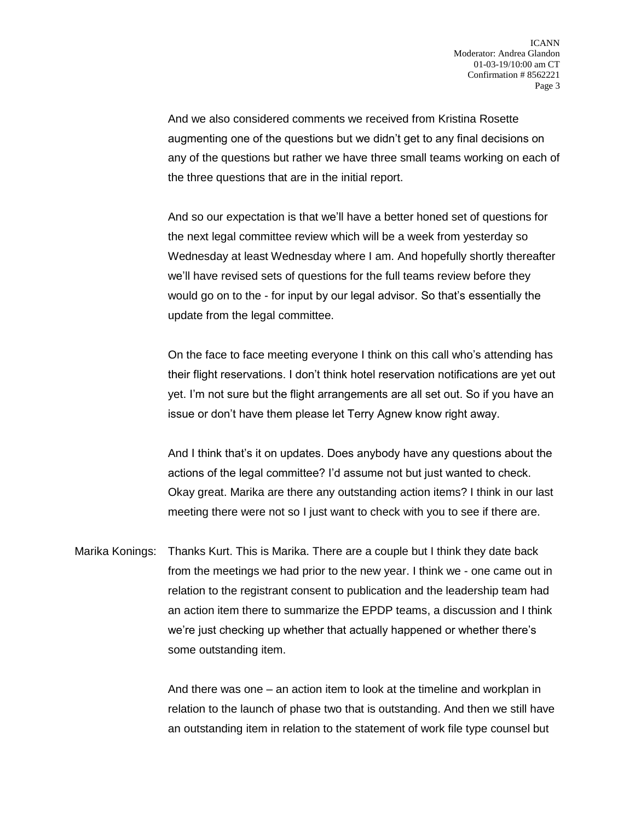And we also considered comments we received from Kristina Rosette augmenting one of the questions but we didn't get to any final decisions on any of the questions but rather we have three small teams working on each of the three questions that are in the initial report.

And so our expectation is that we'll have a better honed set of questions for the next legal committee review which will be a week from yesterday so Wednesday at least Wednesday where I am. And hopefully shortly thereafter we'll have revised sets of questions for the full teams review before they would go on to the - for input by our legal advisor. So that's essentially the update from the legal committee.

On the face to face meeting everyone I think on this call who's attending has their flight reservations. I don't think hotel reservation notifications are yet out yet. I'm not sure but the flight arrangements are all set out. So if you have an issue or don't have them please let Terry Agnew know right away.

And I think that's it on updates. Does anybody have any questions about the actions of the legal committee? I'd assume not but just wanted to check. Okay great. Marika are there any outstanding action items? I think in our last meeting there were not so I just want to check with you to see if there are.

Marika Konings: Thanks Kurt. This is Marika. There are a couple but I think they date back from the meetings we had prior to the new year. I think we - one came out in relation to the registrant consent to publication and the leadership team had an action item there to summarize the EPDP teams, a discussion and I think we're just checking up whether that actually happened or whether there's some outstanding item.

> And there was one – an action item to look at the timeline and workplan in relation to the launch of phase two that is outstanding. And then we still have an outstanding item in relation to the statement of work file type counsel but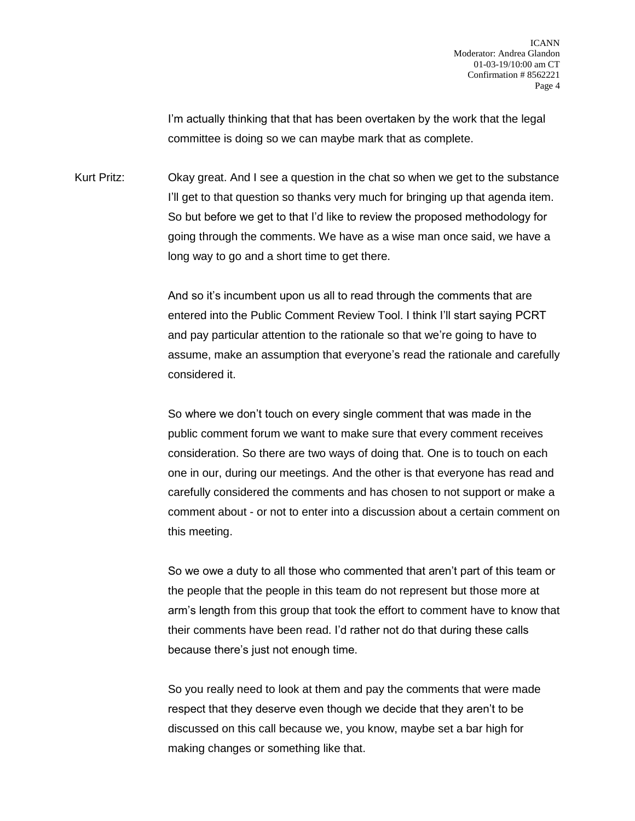I'm actually thinking that that has been overtaken by the work that the legal committee is doing so we can maybe mark that as complete.

Kurt Pritz: Okay great. And I see a question in the chat so when we get to the substance I'll get to that question so thanks very much for bringing up that agenda item. So but before we get to that I'd like to review the proposed methodology for going through the comments. We have as a wise man once said, we have a long way to go and a short time to get there.

> And so it's incumbent upon us all to read through the comments that are entered into the Public Comment Review Tool. I think I'll start saying PCRT and pay particular attention to the rationale so that we're going to have to assume, make an assumption that everyone's read the rationale and carefully considered it.

> So where we don't touch on every single comment that was made in the public comment forum we want to make sure that every comment receives consideration. So there are two ways of doing that. One is to touch on each one in our, during our meetings. And the other is that everyone has read and carefully considered the comments and has chosen to not support or make a comment about - or not to enter into a discussion about a certain comment on this meeting.

> So we owe a duty to all those who commented that aren't part of this team or the people that the people in this team do not represent but those more at arm's length from this group that took the effort to comment have to know that their comments have been read. I'd rather not do that during these calls because there's just not enough time.

So you really need to look at them and pay the comments that were made respect that they deserve even though we decide that they aren't to be discussed on this call because we, you know, maybe set a bar high for making changes or something like that.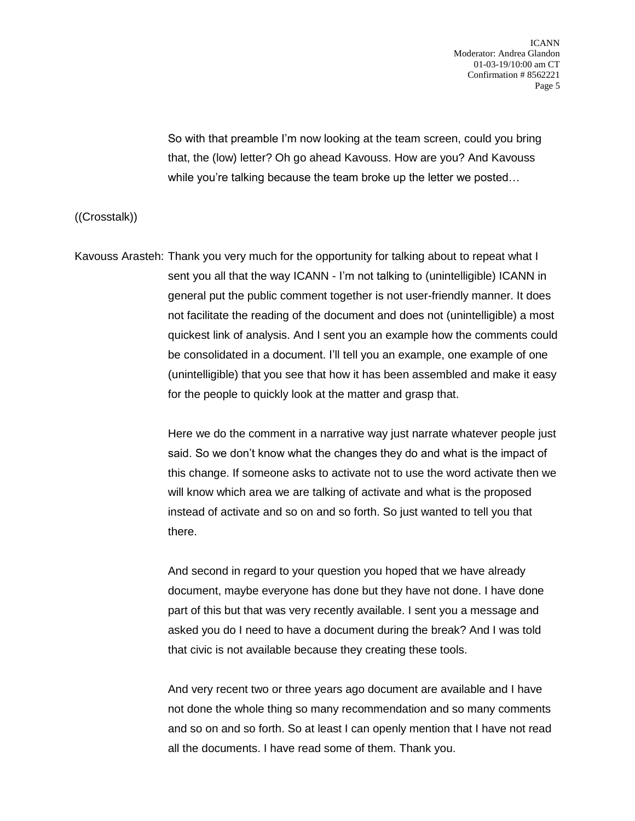So with that preamble I'm now looking at the team screen, could you bring that, the (low) letter? Oh go ahead Kavouss. How are you? And Kavouss while you're talking because the team broke up the letter we posted…

((Crosstalk))

Kavouss Arasteh: Thank you very much for the opportunity for talking about to repeat what I sent you all that the way ICANN - I'm not talking to (unintelligible) ICANN in general put the public comment together is not user-friendly manner. It does not facilitate the reading of the document and does not (unintelligible) a most quickest link of analysis. And I sent you an example how the comments could be consolidated in a document. I'll tell you an example, one example of one (unintelligible) that you see that how it has been assembled and make it easy for the people to quickly look at the matter and grasp that.

> Here we do the comment in a narrative way just narrate whatever people just said. So we don't know what the changes they do and what is the impact of this change. If someone asks to activate not to use the word activate then we will know which area we are talking of activate and what is the proposed instead of activate and so on and so forth. So just wanted to tell you that there.

And second in regard to your question you hoped that we have already document, maybe everyone has done but they have not done. I have done part of this but that was very recently available. I sent you a message and asked you do I need to have a document during the break? And I was told that civic is not available because they creating these tools.

And very recent two or three years ago document are available and I have not done the whole thing so many recommendation and so many comments and so on and so forth. So at least I can openly mention that I have not read all the documents. I have read some of them. Thank you.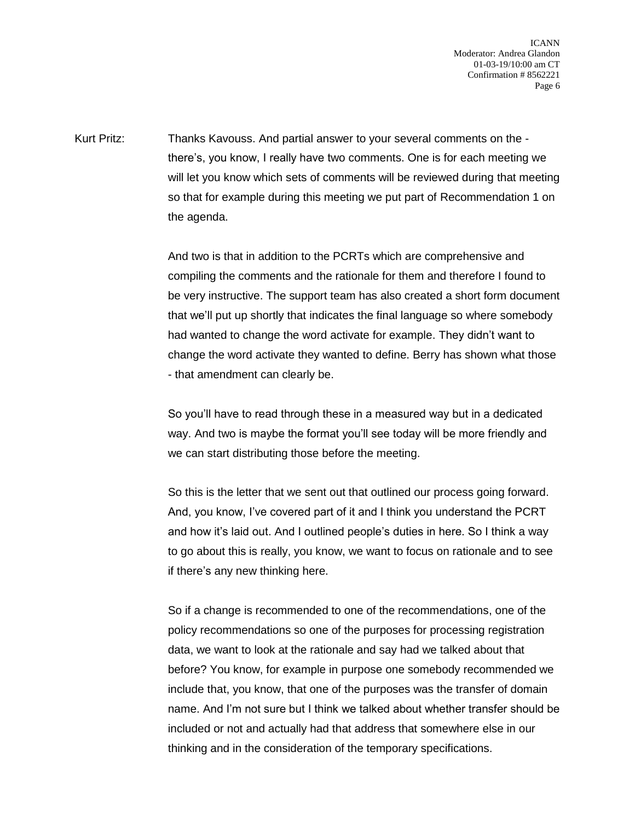Kurt Pritz: Thanks Kavouss. And partial answer to your several comments on the there's, you know, I really have two comments. One is for each meeting we will let you know which sets of comments will be reviewed during that meeting so that for example during this meeting we put part of Recommendation 1 on the agenda.

> And two is that in addition to the PCRTs which are comprehensive and compiling the comments and the rationale for them and therefore I found to be very instructive. The support team has also created a short form document that we'll put up shortly that indicates the final language so where somebody had wanted to change the word activate for example. They didn't want to change the word activate they wanted to define. Berry has shown what those - that amendment can clearly be.

So you'll have to read through these in a measured way but in a dedicated way. And two is maybe the format you'll see today will be more friendly and we can start distributing those before the meeting.

So this is the letter that we sent out that outlined our process going forward. And, you know, I've covered part of it and I think you understand the PCRT and how it's laid out. And I outlined people's duties in here. So I think a way to go about this is really, you know, we want to focus on rationale and to see if there's any new thinking here.

So if a change is recommended to one of the recommendations, one of the policy recommendations so one of the purposes for processing registration data, we want to look at the rationale and say had we talked about that before? You know, for example in purpose one somebody recommended we include that, you know, that one of the purposes was the transfer of domain name. And I'm not sure but I think we talked about whether transfer should be included or not and actually had that address that somewhere else in our thinking and in the consideration of the temporary specifications.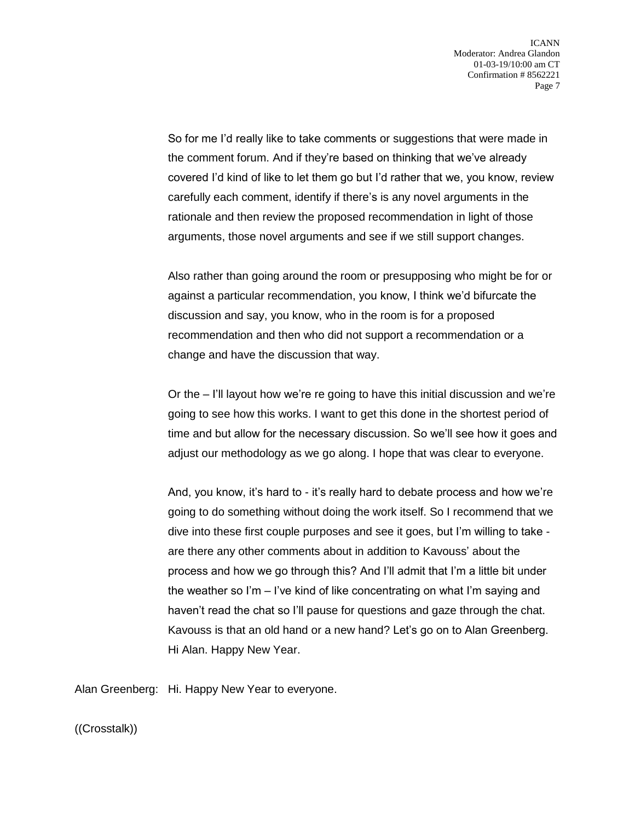So for me I'd really like to take comments or suggestions that were made in the comment forum. And if they're based on thinking that we've already covered I'd kind of like to let them go but I'd rather that we, you know, review carefully each comment, identify if there's is any novel arguments in the rationale and then review the proposed recommendation in light of those arguments, those novel arguments and see if we still support changes.

Also rather than going around the room or presupposing who might be for or against a particular recommendation, you know, I think we'd bifurcate the discussion and say, you know, who in the room is for a proposed recommendation and then who did not support a recommendation or a change and have the discussion that way.

Or the – I'll layout how we're re going to have this initial discussion and we're going to see how this works. I want to get this done in the shortest period of time and but allow for the necessary discussion. So we'll see how it goes and adjust our methodology as we go along. I hope that was clear to everyone.

And, you know, it's hard to - it's really hard to debate process and how we're going to do something without doing the work itself. So I recommend that we dive into these first couple purposes and see it goes, but I'm willing to take are there any other comments about in addition to Kavouss' about the process and how we go through this? And I'll admit that I'm a little bit under the weather so I'm – I've kind of like concentrating on what I'm saying and haven't read the chat so I'll pause for questions and gaze through the chat. Kavouss is that an old hand or a new hand? Let's go on to Alan Greenberg. Hi Alan. Happy New Year.

Alan Greenberg: Hi. Happy New Year to everyone.

((Crosstalk))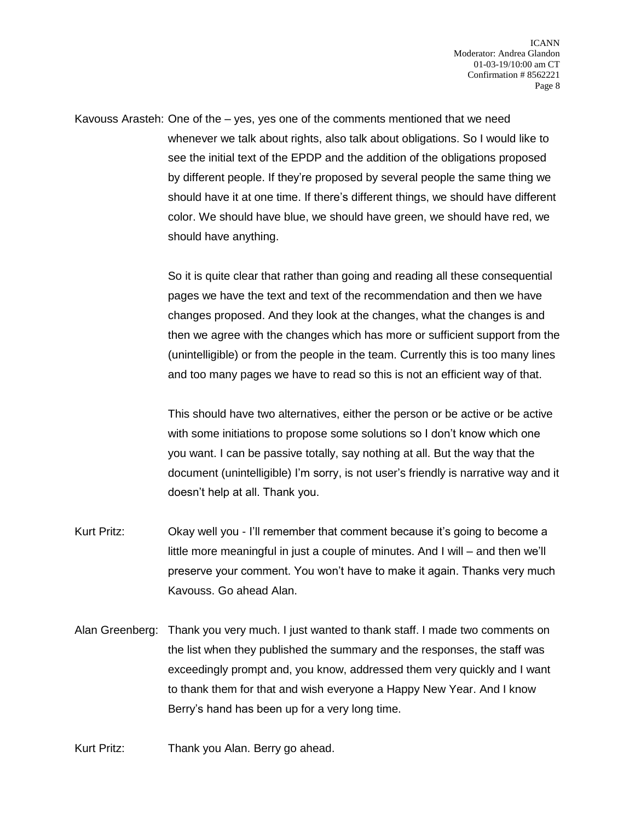Kavouss Arasteh: One of the – yes, yes one of the comments mentioned that we need whenever we talk about rights, also talk about obligations. So I would like to see the initial text of the EPDP and the addition of the obligations proposed by different people. If they're proposed by several people the same thing we should have it at one time. If there's different things, we should have different color. We should have blue, we should have green, we should have red, we should have anything.

> So it is quite clear that rather than going and reading all these consequential pages we have the text and text of the recommendation and then we have changes proposed. And they look at the changes, what the changes is and then we agree with the changes which has more or sufficient support from the (unintelligible) or from the people in the team. Currently this is too many lines and too many pages we have to read so this is not an efficient way of that.

> This should have two alternatives, either the person or be active or be active with some initiations to propose some solutions so I don't know which one you want. I can be passive totally, say nothing at all. But the way that the document (unintelligible) I'm sorry, is not user's friendly is narrative way and it doesn't help at all. Thank you.

- Kurt Pritz: Okay well you I'll remember that comment because it's going to become a little more meaningful in just a couple of minutes. And I will – and then we'll preserve your comment. You won't have to make it again. Thanks very much Kavouss. Go ahead Alan.
- Alan Greenberg: Thank you very much. I just wanted to thank staff. I made two comments on the list when they published the summary and the responses, the staff was exceedingly prompt and, you know, addressed them very quickly and I want to thank them for that and wish everyone a Happy New Year. And I know Berry's hand has been up for a very long time.
- Kurt Pritz: Thank you Alan. Berry go ahead.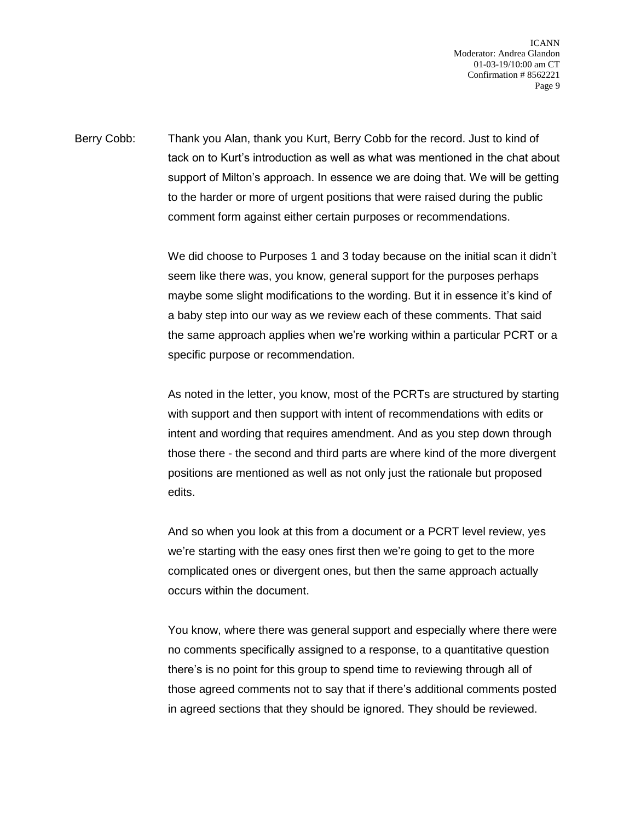Berry Cobb: Thank you Alan, thank you Kurt, Berry Cobb for the record. Just to kind of tack on to Kurt's introduction as well as what was mentioned in the chat about support of Milton's approach. In essence we are doing that. We will be getting to the harder or more of urgent positions that were raised during the public comment form against either certain purposes or recommendations.

> We did choose to Purposes 1 and 3 today because on the initial scan it didn't seem like there was, you know, general support for the purposes perhaps maybe some slight modifications to the wording. But it in essence it's kind of a baby step into our way as we review each of these comments. That said the same approach applies when we're working within a particular PCRT or a specific purpose or recommendation.

> As noted in the letter, you know, most of the PCRTs are structured by starting with support and then support with intent of recommendations with edits or intent and wording that requires amendment. And as you step down through those there - the second and third parts are where kind of the more divergent positions are mentioned as well as not only just the rationale but proposed edits.

And so when you look at this from a document or a PCRT level review, yes we're starting with the easy ones first then we're going to get to the more complicated ones or divergent ones, but then the same approach actually occurs within the document.

You know, where there was general support and especially where there were no comments specifically assigned to a response, to a quantitative question there's is no point for this group to spend time to reviewing through all of those agreed comments not to say that if there's additional comments posted in agreed sections that they should be ignored. They should be reviewed.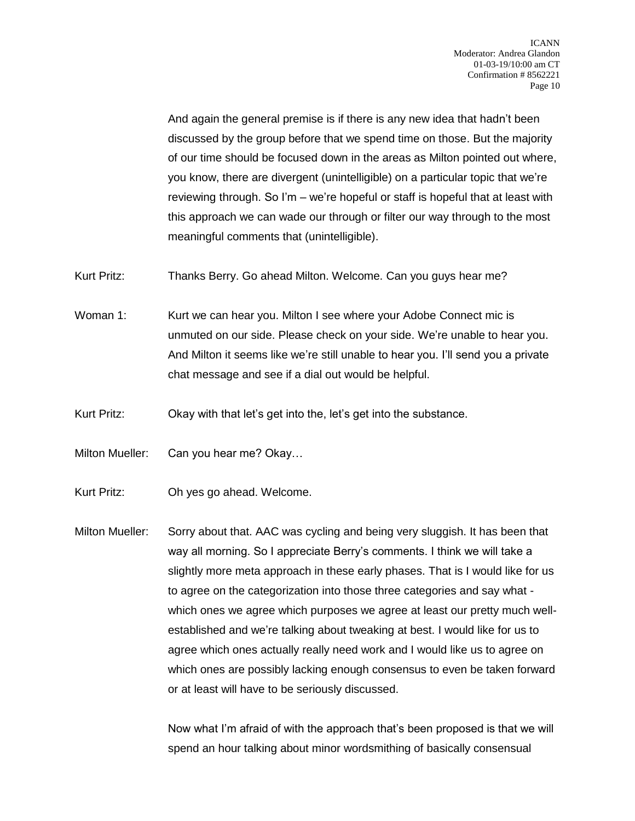And again the general premise is if there is any new idea that hadn't been discussed by the group before that we spend time on those. But the majority of our time should be focused down in the areas as Milton pointed out where, you know, there are divergent (unintelligible) on a particular topic that we're reviewing through. So I'm – we're hopeful or staff is hopeful that at least with this approach we can wade our through or filter our way through to the most meaningful comments that (unintelligible).

Kurt Pritz: Thanks Berry. Go ahead Milton. Welcome. Can you guys hear me?

Woman 1: Kurt we can hear you. Milton I see where your Adobe Connect mic is unmuted on our side. Please check on your side. We're unable to hear you. And Milton it seems like we're still unable to hear you. I'll send you a private chat message and see if a dial out would be helpful.

Kurt Pritz: Okay with that let's get into the, let's get into the substance.

Milton Mueller: Can you hear me? Okay...

Kurt Pritz: Oh yes go ahead. Welcome.

Milton Mueller: Sorry about that. AAC was cycling and being very sluggish. It has been that way all morning. So I appreciate Berry's comments. I think we will take a slightly more meta approach in these early phases. That is I would like for us to agree on the categorization into those three categories and say what which ones we agree which purposes we agree at least our pretty much wellestablished and we're talking about tweaking at best. I would like for us to agree which ones actually really need work and I would like us to agree on which ones are possibly lacking enough consensus to even be taken forward or at least will have to be seriously discussed.

> Now what I'm afraid of with the approach that's been proposed is that we will spend an hour talking about minor wordsmithing of basically consensual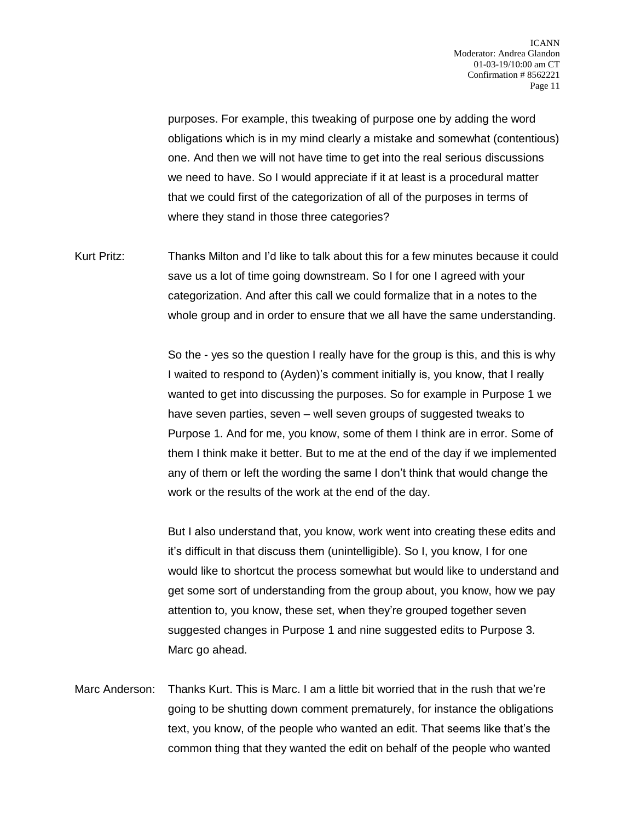purposes. For example, this tweaking of purpose one by adding the word obligations which is in my mind clearly a mistake and somewhat (contentious) one. And then we will not have time to get into the real serious discussions we need to have. So I would appreciate if it at least is a procedural matter that we could first of the categorization of all of the purposes in terms of where they stand in those three categories?

Kurt Pritz: Thanks Milton and I'd like to talk about this for a few minutes because it could save us a lot of time going downstream. So I for one I agreed with your categorization. And after this call we could formalize that in a notes to the whole group and in order to ensure that we all have the same understanding.

> So the - yes so the question I really have for the group is this, and this is why I waited to respond to (Ayden)'s comment initially is, you know, that I really wanted to get into discussing the purposes. So for example in Purpose 1 we have seven parties, seven – well seven groups of suggested tweaks to Purpose 1. And for me, you know, some of them I think are in error. Some of them I think make it better. But to me at the end of the day if we implemented any of them or left the wording the same I don't think that would change the work or the results of the work at the end of the day.

> But I also understand that, you know, work went into creating these edits and it's difficult in that discuss them (unintelligible). So I, you know, I for one would like to shortcut the process somewhat but would like to understand and get some sort of understanding from the group about, you know, how we pay attention to, you know, these set, when they're grouped together seven suggested changes in Purpose 1 and nine suggested edits to Purpose 3. Marc go ahead.

Marc Anderson: Thanks Kurt. This is Marc. I am a little bit worried that in the rush that we're going to be shutting down comment prematurely, for instance the obligations text, you know, of the people who wanted an edit. That seems like that's the common thing that they wanted the edit on behalf of the people who wanted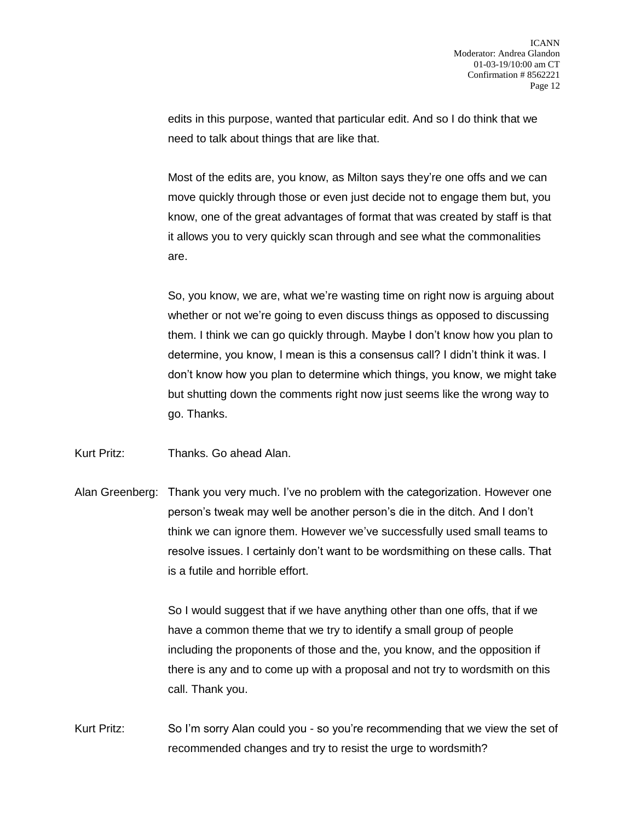edits in this purpose, wanted that particular edit. And so I do think that we need to talk about things that are like that.

Most of the edits are, you know, as Milton says they're one offs and we can move quickly through those or even just decide not to engage them but, you know, one of the great advantages of format that was created by staff is that it allows you to very quickly scan through and see what the commonalities are.

So, you know, we are, what we're wasting time on right now is arguing about whether or not we're going to even discuss things as opposed to discussing them. I think we can go quickly through. Maybe I don't know how you plan to determine, you know, I mean is this a consensus call? I didn't think it was. I don't know how you plan to determine which things, you know, we might take but shutting down the comments right now just seems like the wrong way to go. Thanks.

Kurt Pritz: Thanks. Go ahead Alan.

Alan Greenberg: Thank you very much. I've no problem with the categorization. However one person's tweak may well be another person's die in the ditch. And I don't think we can ignore them. However we've successfully used small teams to resolve issues. I certainly don't want to be wordsmithing on these calls. That is a futile and horrible effort.

> So I would suggest that if we have anything other than one offs, that if we have a common theme that we try to identify a small group of people including the proponents of those and the, you know, and the opposition if there is any and to come up with a proposal and not try to wordsmith on this call. Thank you.

Kurt Pritz: So I'm sorry Alan could you - so you're recommending that we view the set of recommended changes and try to resist the urge to wordsmith?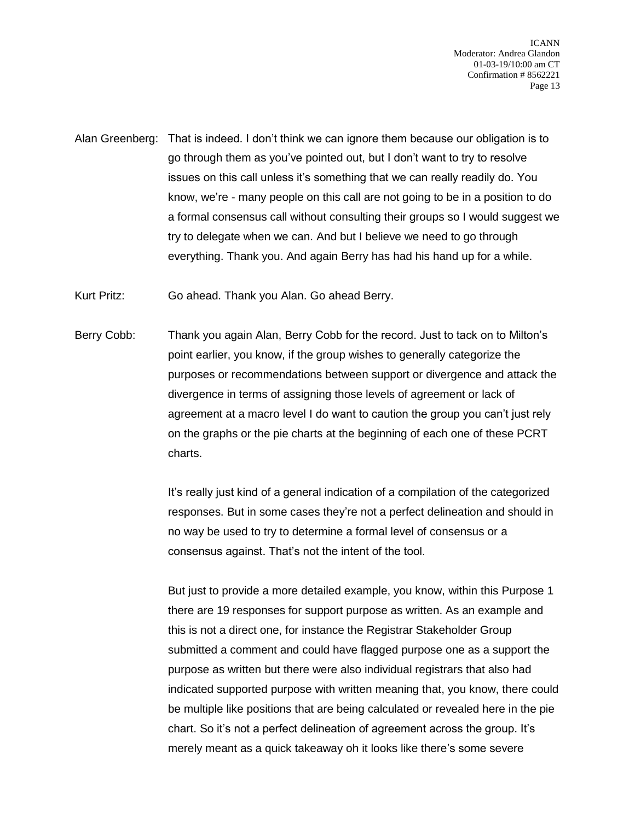Alan Greenberg: That is indeed. I don't think we can ignore them because our obligation is to go through them as you've pointed out, but I don't want to try to resolve issues on this call unless it's something that we can really readily do. You know, we're - many people on this call are not going to be in a position to do a formal consensus call without consulting their groups so I would suggest we try to delegate when we can. And but I believe we need to go through everything. Thank you. And again Berry has had his hand up for a while.

Kurt Pritz: Go ahead. Thank you Alan. Go ahead Berry.

Berry Cobb: Thank you again Alan, Berry Cobb for the record. Just to tack on to Milton's point earlier, you know, if the group wishes to generally categorize the purposes or recommendations between support or divergence and attack the divergence in terms of assigning those levels of agreement or lack of agreement at a macro level I do want to caution the group you can't just rely on the graphs or the pie charts at the beginning of each one of these PCRT charts.

> It's really just kind of a general indication of a compilation of the categorized responses. But in some cases they're not a perfect delineation and should in no way be used to try to determine a formal level of consensus or a consensus against. That's not the intent of the tool.

But just to provide a more detailed example, you know, within this Purpose 1 there are 19 responses for support purpose as written. As an example and this is not a direct one, for instance the Registrar Stakeholder Group submitted a comment and could have flagged purpose one as a support the purpose as written but there were also individual registrars that also had indicated supported purpose with written meaning that, you know, there could be multiple like positions that are being calculated or revealed here in the pie chart. So it's not a perfect delineation of agreement across the group. It's merely meant as a quick takeaway oh it looks like there's some severe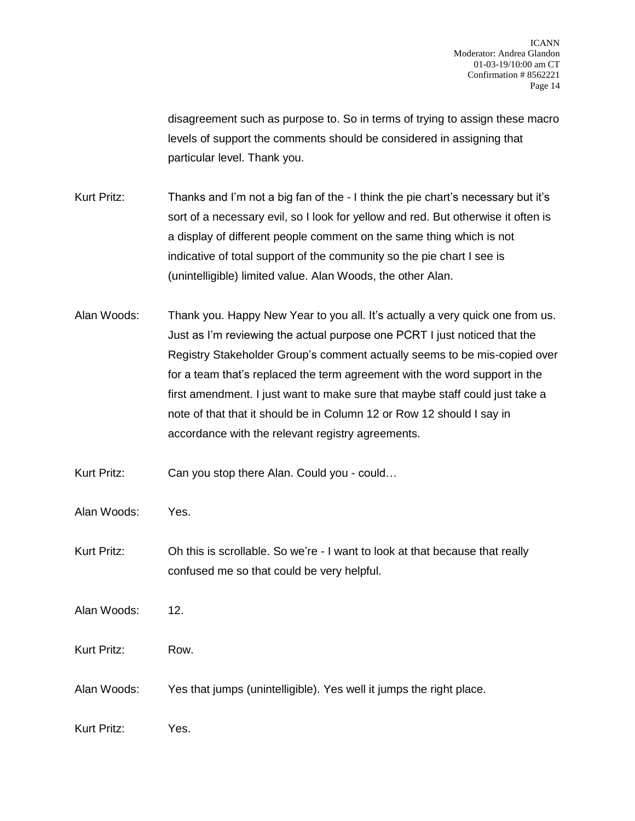disagreement such as purpose to. So in terms of trying to assign these macro levels of support the comments should be considered in assigning that particular level. Thank you.

Kurt Pritz: Thanks and I'm not a big fan of the - I think the pie chart's necessary but it's sort of a necessary evil, so I look for yellow and red. But otherwise it often is a display of different people comment on the same thing which is not indicative of total support of the community so the pie chart I see is (unintelligible) limited value. Alan Woods, the other Alan.

Alan Woods: Thank you. Happy New Year to you all. It's actually a very quick one from us. Just as I'm reviewing the actual purpose one PCRT I just noticed that the Registry Stakeholder Group's comment actually seems to be mis-copied over for a team that's replaced the term agreement with the word support in the first amendment. I just want to make sure that maybe staff could just take a note of that that it should be in Column 12 or Row 12 should I say in accordance with the relevant registry agreements.

Kurt Pritz: Can you stop there Alan. Could you - could...

Alan Woods: Yes.

Kurt Pritz: Oh this is scrollable. So we're - I want to look at that because that really confused me so that could be very helpful.

Alan Woods: 12.

Kurt Pritz: Row.

Alan Woods: Yes that jumps (unintelligible). Yes well it jumps the right place.

Kurt Pritz: Yes.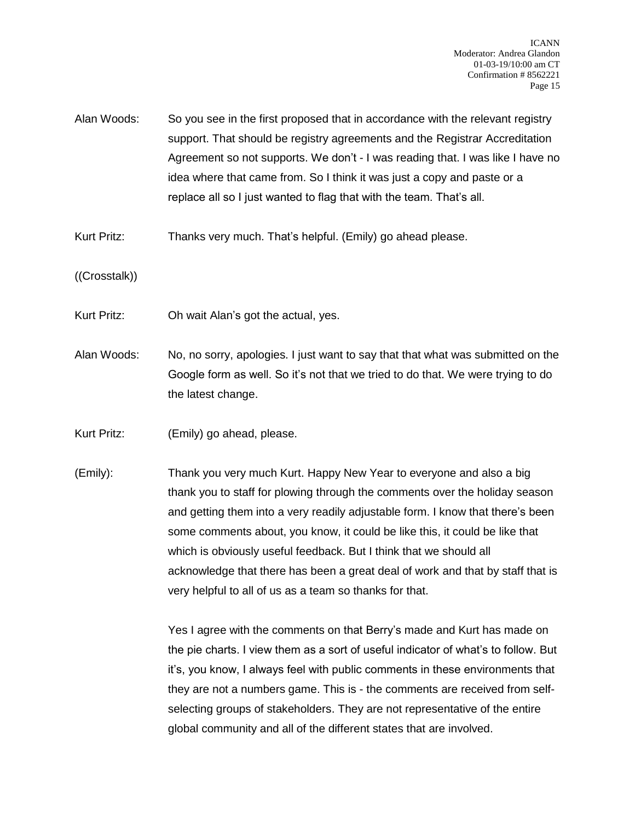- Alan Woods: So you see in the first proposed that in accordance with the relevant registry support. That should be registry agreements and the Registrar Accreditation Agreement so not supports. We don't - I was reading that. I was like I have no idea where that came from. So I think it was just a copy and paste or a replace all so I just wanted to flag that with the team. That's all.
- Kurt Pritz: Thanks very much. That's helpful. (Emily) go ahead please.
- ((Crosstalk))
- Kurt Pritz: Oh wait Alan's got the actual, yes.
- Alan Woods: No, no sorry, apologies. I just want to say that that what was submitted on the Google form as well. So it's not that we tried to do that. We were trying to do the latest change.
- Kurt Pritz: (Emily) go ahead, please.
- (Emily): Thank you very much Kurt. Happy New Year to everyone and also a big thank you to staff for plowing through the comments over the holiday season and getting them into a very readily adjustable form. I know that there's been some comments about, you know, it could be like this, it could be like that which is obviously useful feedback. But I think that we should all acknowledge that there has been a great deal of work and that by staff that is very helpful to all of us as a team so thanks for that.

Yes I agree with the comments on that Berry's made and Kurt has made on the pie charts. I view them as a sort of useful indicator of what's to follow. But it's, you know, I always feel with public comments in these environments that they are not a numbers game. This is - the comments are received from selfselecting groups of stakeholders. They are not representative of the entire global community and all of the different states that are involved.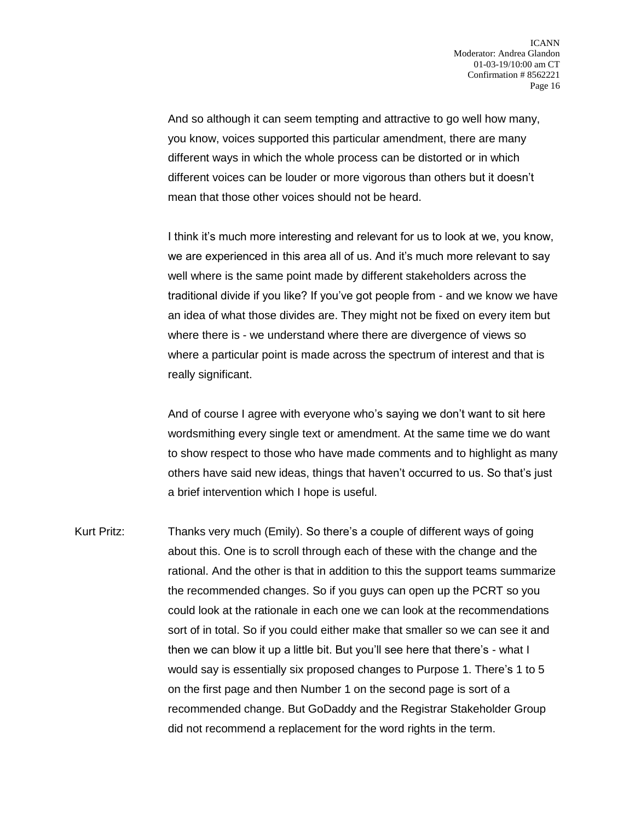And so although it can seem tempting and attractive to go well how many, you know, voices supported this particular amendment, there are many different ways in which the whole process can be distorted or in which different voices can be louder or more vigorous than others but it doesn't mean that those other voices should not be heard.

I think it's much more interesting and relevant for us to look at we, you know, we are experienced in this area all of us. And it's much more relevant to say well where is the same point made by different stakeholders across the traditional divide if you like? If you've got people from - and we know we have an idea of what those divides are. They might not be fixed on every item but where there is - we understand where there are divergence of views so where a particular point is made across the spectrum of interest and that is really significant.

And of course I agree with everyone who's saying we don't want to sit here wordsmithing every single text or amendment. At the same time we do want to show respect to those who have made comments and to highlight as many others have said new ideas, things that haven't occurred to us. So that's just a brief intervention which I hope is useful.

Kurt Pritz: Thanks very much (Emily). So there's a couple of different ways of going about this. One is to scroll through each of these with the change and the rational. And the other is that in addition to this the support teams summarize the recommended changes. So if you guys can open up the PCRT so you could look at the rationale in each one we can look at the recommendations sort of in total. So if you could either make that smaller so we can see it and then we can blow it up a little bit. But you'll see here that there's - what I would say is essentially six proposed changes to Purpose 1. There's 1 to 5 on the first page and then Number 1 on the second page is sort of a recommended change. But GoDaddy and the Registrar Stakeholder Group did not recommend a replacement for the word rights in the term.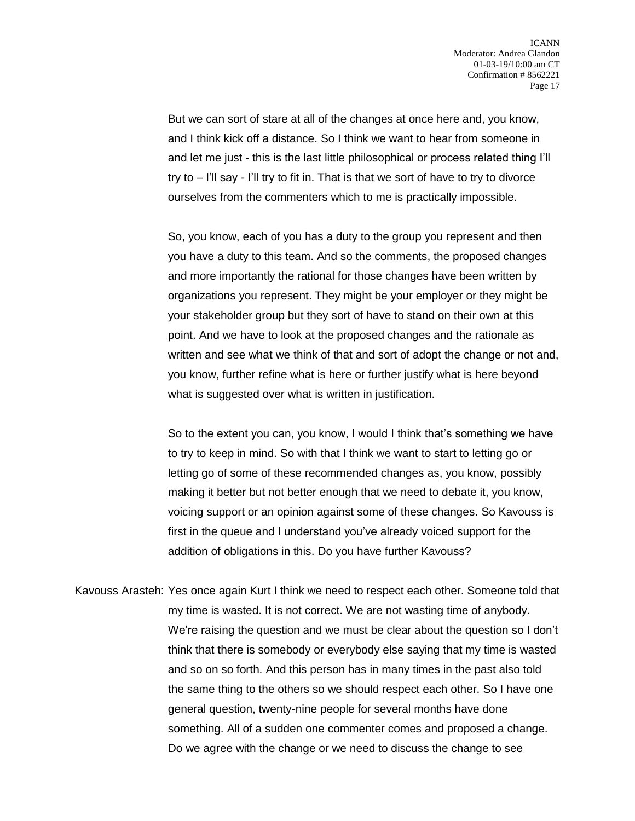But we can sort of stare at all of the changes at once here and, you know, and I think kick off a distance. So I think we want to hear from someone in and let me just - this is the last little philosophical or process related thing I'll try to – I'll say - I'll try to fit in. That is that we sort of have to try to divorce ourselves from the commenters which to me is practically impossible.

So, you know, each of you has a duty to the group you represent and then you have a duty to this team. And so the comments, the proposed changes and more importantly the rational for those changes have been written by organizations you represent. They might be your employer or they might be your stakeholder group but they sort of have to stand on their own at this point. And we have to look at the proposed changes and the rationale as written and see what we think of that and sort of adopt the change or not and, you know, further refine what is here or further justify what is here beyond what is suggested over what is written in justification.

So to the extent you can, you know, I would I think that's something we have to try to keep in mind. So with that I think we want to start to letting go or letting go of some of these recommended changes as, you know, possibly making it better but not better enough that we need to debate it, you know, voicing support or an opinion against some of these changes. So Kavouss is first in the queue and I understand you've already voiced support for the addition of obligations in this. Do you have further Kavouss?

Kavouss Arasteh: Yes once again Kurt I think we need to respect each other. Someone told that my time is wasted. It is not correct. We are not wasting time of anybody. We're raising the question and we must be clear about the question so I don't think that there is somebody or everybody else saying that my time is wasted and so on so forth. And this person has in many times in the past also told the same thing to the others so we should respect each other. So I have one general question, twenty-nine people for several months have done something. All of a sudden one commenter comes and proposed a change. Do we agree with the change or we need to discuss the change to see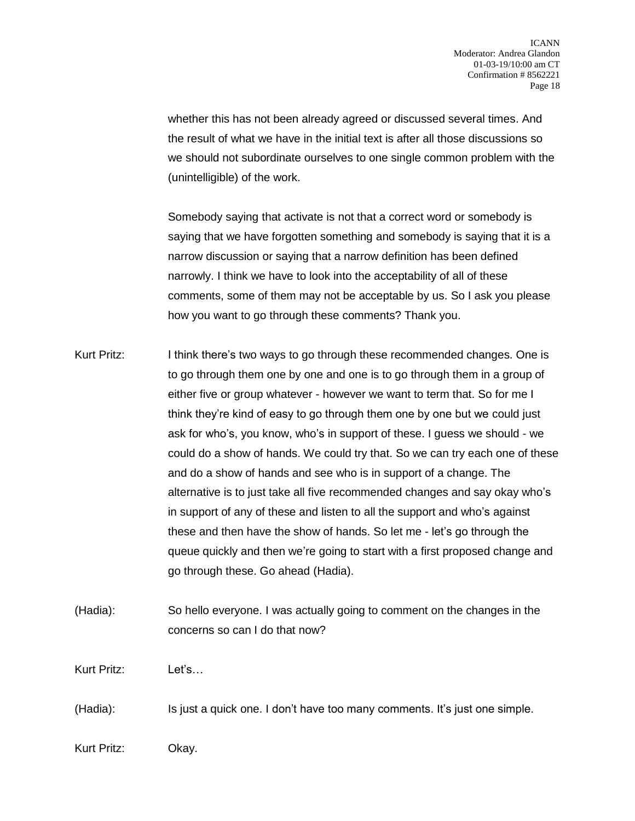whether this has not been already agreed or discussed several times. And the result of what we have in the initial text is after all those discussions so we should not subordinate ourselves to one single common problem with the (unintelligible) of the work.

Somebody saying that activate is not that a correct word or somebody is saying that we have forgotten something and somebody is saying that it is a narrow discussion or saying that a narrow definition has been defined narrowly. I think we have to look into the acceptability of all of these comments, some of them may not be acceptable by us. So I ask you please how you want to go through these comments? Thank you.

- Kurt Pritz: I think there's two ways to go through these recommended changes. One is to go through them one by one and one is to go through them in a group of either five or group whatever - however we want to term that. So for me I think they're kind of easy to go through them one by one but we could just ask for who's, you know, who's in support of these. I guess we should - we could do a show of hands. We could try that. So we can try each one of these and do a show of hands and see who is in support of a change. The alternative is to just take all five recommended changes and say okay who's in support of any of these and listen to all the support and who's against these and then have the show of hands. So let me - let's go through the queue quickly and then we're going to start with a first proposed change and go through these. Go ahead (Hadia).
- (Hadia): So hello everyone. I was actually going to comment on the changes in the concerns so can I do that now?

Kurt Pritz: Let's…

(Hadia): Is just a quick one. I don't have too many comments. It's just one simple.

Kurt Pritz: Okay.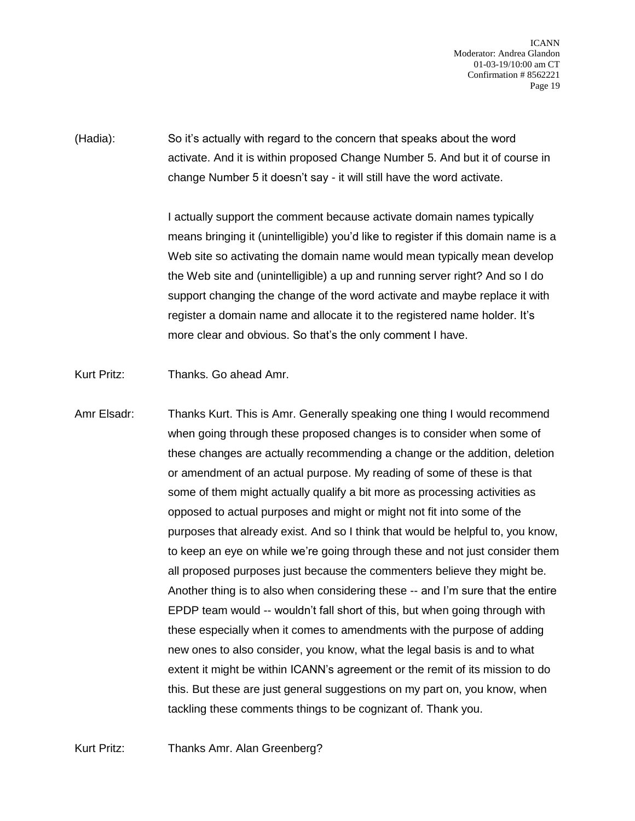(Hadia): So it's actually with regard to the concern that speaks about the word activate. And it is within proposed Change Number 5. And but it of course in change Number 5 it doesn't say - it will still have the word activate.

> I actually support the comment because activate domain names typically means bringing it (unintelligible) you'd like to register if this domain name is a Web site so activating the domain name would mean typically mean develop the Web site and (unintelligible) a up and running server right? And so I do support changing the change of the word activate and maybe replace it with register a domain name and allocate it to the registered name holder. It's more clear and obvious. So that's the only comment I have.

Kurt Pritz: Thanks. Go ahead Amr.

Amr Elsadr: Thanks Kurt. This is Amr. Generally speaking one thing I would recommend when going through these proposed changes is to consider when some of these changes are actually recommending a change or the addition, deletion or amendment of an actual purpose. My reading of some of these is that some of them might actually qualify a bit more as processing activities as opposed to actual purposes and might or might not fit into some of the purposes that already exist. And so I think that would be helpful to, you know, to keep an eye on while we're going through these and not just consider them all proposed purposes just because the commenters believe they might be. Another thing is to also when considering these -- and I'm sure that the entire EPDP team would -- wouldn't fall short of this, but when going through with these especially when it comes to amendments with the purpose of adding new ones to also consider, you know, what the legal basis is and to what extent it might be within ICANN's agreement or the remit of its mission to do this. But these are just general suggestions on my part on, you know, when tackling these comments things to be cognizant of. Thank you.

Kurt Pritz: Thanks Amr. Alan Greenberg?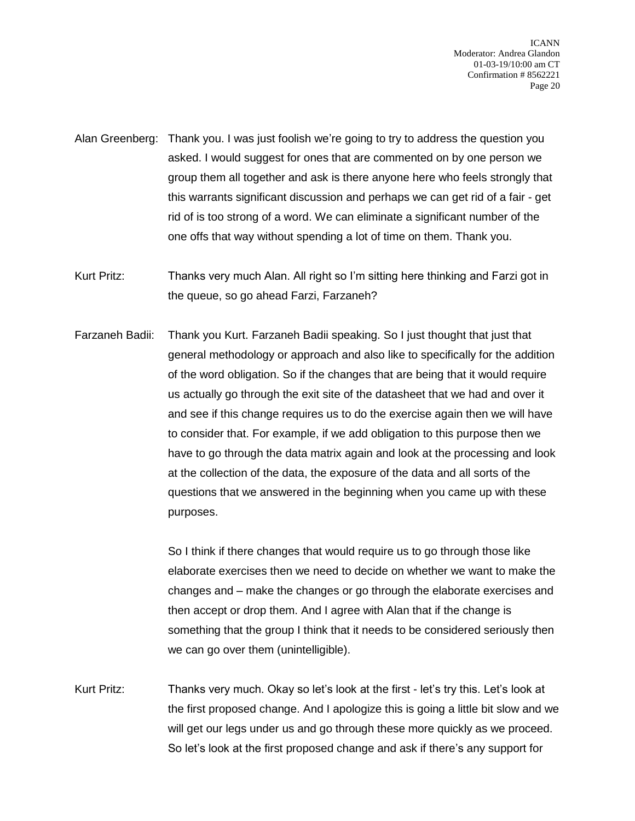- Alan Greenberg: Thank you. I was just foolish we're going to try to address the question you asked. I would suggest for ones that are commented on by one person we group them all together and ask is there anyone here who feels strongly that this warrants significant discussion and perhaps we can get rid of a fair - get rid of is too strong of a word. We can eliminate a significant number of the one offs that way without spending a lot of time on them. Thank you.
- Kurt Pritz: Thanks very much Alan. All right so I'm sitting here thinking and Farzi got in the queue, so go ahead Farzi, Farzaneh?
- Farzaneh Badii: Thank you Kurt. Farzaneh Badii speaking. So I just thought that just that general methodology or approach and also like to specifically for the addition of the word obligation. So if the changes that are being that it would require us actually go through the exit site of the datasheet that we had and over it and see if this change requires us to do the exercise again then we will have to consider that. For example, if we add obligation to this purpose then we have to go through the data matrix again and look at the processing and look at the collection of the data, the exposure of the data and all sorts of the questions that we answered in the beginning when you came up with these purposes.

So I think if there changes that would require us to go through those like elaborate exercises then we need to decide on whether we want to make the changes and – make the changes or go through the elaborate exercises and then accept or drop them. And I agree with Alan that if the change is something that the group I think that it needs to be considered seriously then we can go over them (unintelligible).

Kurt Pritz: Thanks very much. Okay so let's look at the first - let's try this. Let's look at the first proposed change. And I apologize this is going a little bit slow and we will get our legs under us and go through these more quickly as we proceed. So let's look at the first proposed change and ask if there's any support for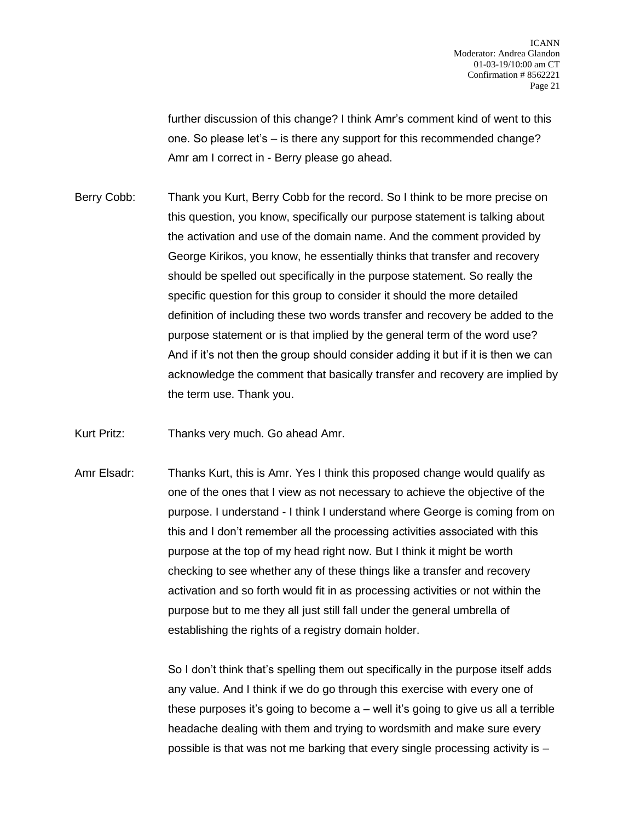further discussion of this change? I think Amr's comment kind of went to this one. So please let's – is there any support for this recommended change? Amr am I correct in - Berry please go ahead.

Berry Cobb: Thank you Kurt, Berry Cobb for the record. So I think to be more precise on this question, you know, specifically our purpose statement is talking about the activation and use of the domain name. And the comment provided by George Kirikos, you know, he essentially thinks that transfer and recovery should be spelled out specifically in the purpose statement. So really the specific question for this group to consider it should the more detailed definition of including these two words transfer and recovery be added to the purpose statement or is that implied by the general term of the word use? And if it's not then the group should consider adding it but if it is then we can acknowledge the comment that basically transfer and recovery are implied by the term use. Thank you.

Kurt Pritz: Thanks very much. Go ahead Amr.

Amr Elsadr: Thanks Kurt, this is Amr. Yes I think this proposed change would qualify as one of the ones that I view as not necessary to achieve the objective of the purpose. I understand - I think I understand where George is coming from on this and I don't remember all the processing activities associated with this purpose at the top of my head right now. But I think it might be worth checking to see whether any of these things like a transfer and recovery activation and so forth would fit in as processing activities or not within the purpose but to me they all just still fall under the general umbrella of establishing the rights of a registry domain holder.

> So I don't think that's spelling them out specifically in the purpose itself adds any value. And I think if we do go through this exercise with every one of these purposes it's going to become a – well it's going to give us all a terrible headache dealing with them and trying to wordsmith and make sure every possible is that was not me barking that every single processing activity is –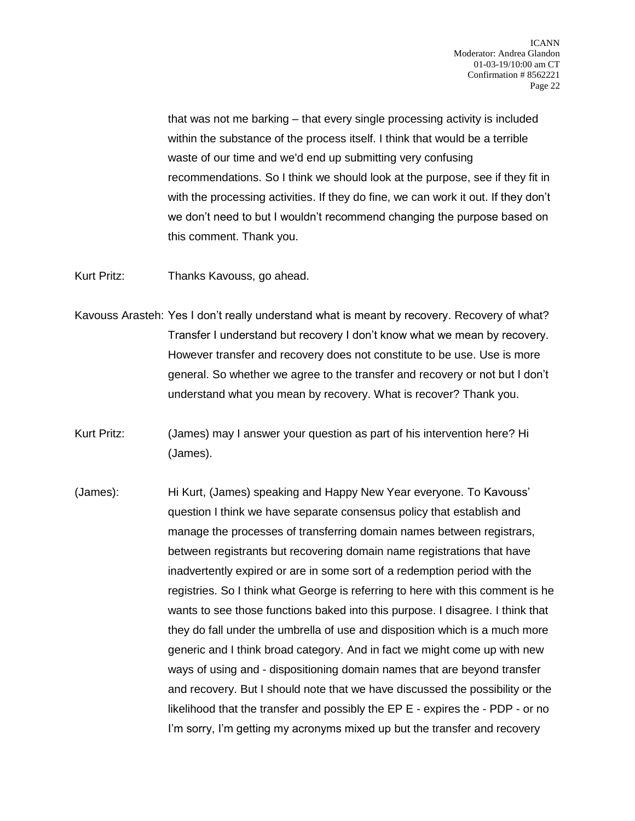that was not me barking – that every single processing activity is included within the substance of the process itself. I think that would be a terrible waste of our time and we'd end up submitting very confusing recommendations. So I think we should look at the purpose, see if they fit in with the processing activities. If they do fine, we can work it out. If they don't we don't need to but I wouldn't recommend changing the purpose based on this comment. Thank you.

Kurt Pritz: Thanks Kavouss, go ahead.

- Kavouss Arasteh: Yes I don't really understand what is meant by recovery. Recovery of what? Transfer I understand but recovery I don't know what we mean by recovery. However transfer and recovery does not constitute to be use. Use is more general. So whether we agree to the transfer and recovery or not but I don't understand what you mean by recovery. What is recover? Thank you.
- Kurt Pritz: (James) may I answer your question as part of his intervention here? Hi (James).
- (James): Hi Kurt, (James) speaking and Happy New Year everyone. To Kavouss' question I think we have separate consensus policy that establish and manage the processes of transferring domain names between registrars, between registrants but recovering domain name registrations that have inadvertently expired or are in some sort of a redemption period with the registries. So I think what George is referring to here with this comment is he wants to see those functions baked into this purpose. I disagree. I think that they do fall under the umbrella of use and disposition which is a much more generic and I think broad category. And in fact we might come up with new ways of using and - dispositioning domain names that are beyond transfer and recovery. But I should note that we have discussed the possibility or the likelihood that the transfer and possibly the EP E - expires the - PDP - or no I'm sorry, I'm getting my acronyms mixed up but the transfer and recovery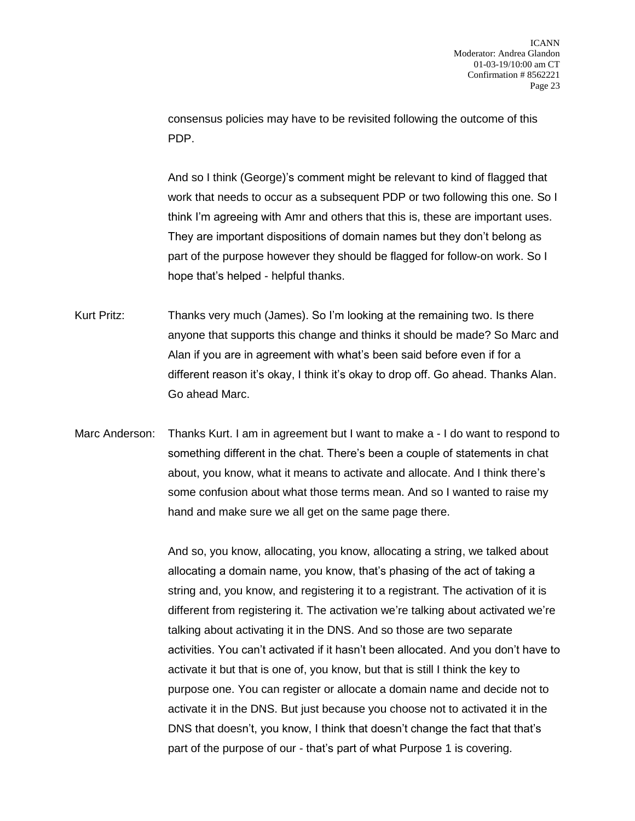consensus policies may have to be revisited following the outcome of this PDP.

And so I think (George)'s comment might be relevant to kind of flagged that work that needs to occur as a subsequent PDP or two following this one. So I think I'm agreeing with Amr and others that this is, these are important uses. They are important dispositions of domain names but they don't belong as part of the purpose however they should be flagged for follow-on work. So I hope that's helped - helpful thanks.

Kurt Pritz: Thanks very much (James). So I'm looking at the remaining two. Is there anyone that supports this change and thinks it should be made? So Marc and Alan if you are in agreement with what's been said before even if for a different reason it's okay, I think it's okay to drop off. Go ahead. Thanks Alan. Go ahead Marc.

Marc Anderson: Thanks Kurt. I am in agreement but I want to make a - I do want to respond to something different in the chat. There's been a couple of statements in chat about, you know, what it means to activate and allocate. And I think there's some confusion about what those terms mean. And so I wanted to raise my hand and make sure we all get on the same page there.

> And so, you know, allocating, you know, allocating a string, we talked about allocating a domain name, you know, that's phasing of the act of taking a string and, you know, and registering it to a registrant. The activation of it is different from registering it. The activation we're talking about activated we're talking about activating it in the DNS. And so those are two separate activities. You can't activated if it hasn't been allocated. And you don't have to activate it but that is one of, you know, but that is still I think the key to purpose one. You can register or allocate a domain name and decide not to activate it in the DNS. But just because you choose not to activated it in the DNS that doesn't, you know, I think that doesn't change the fact that that's part of the purpose of our - that's part of what Purpose 1 is covering.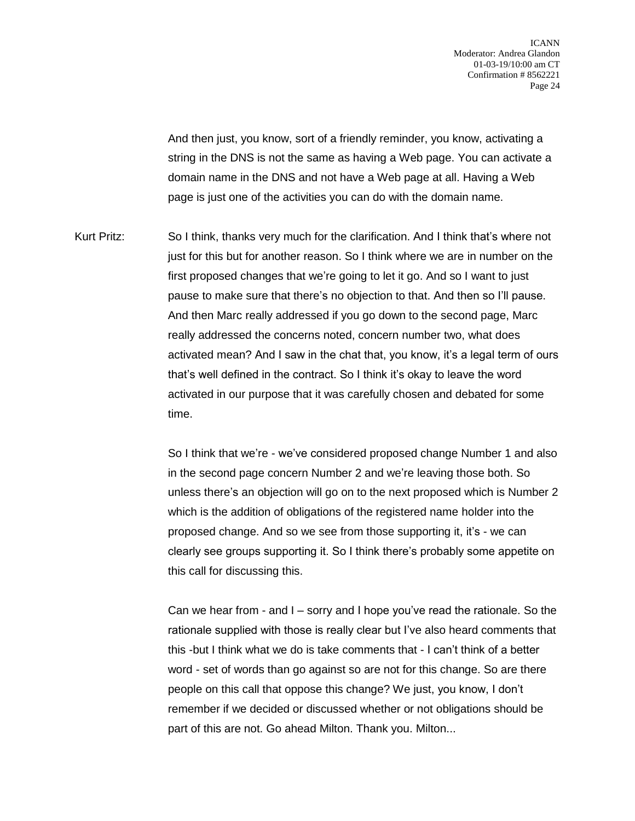And then just, you know, sort of a friendly reminder, you know, activating a string in the DNS is not the same as having a Web page. You can activate a domain name in the DNS and not have a Web page at all. Having a Web page is just one of the activities you can do with the domain name.

Kurt Pritz: So I think, thanks very much for the clarification. And I think that's where not just for this but for another reason. So I think where we are in number on the first proposed changes that we're going to let it go. And so I want to just pause to make sure that there's no objection to that. And then so I'll pause. And then Marc really addressed if you go down to the second page, Marc really addressed the concerns noted, concern number two, what does activated mean? And I saw in the chat that, you know, it's a legal term of ours that's well defined in the contract. So I think it's okay to leave the word activated in our purpose that it was carefully chosen and debated for some time.

> So I think that we're - we've considered proposed change Number 1 and also in the second page concern Number 2 and we're leaving those both. So unless there's an objection will go on to the next proposed which is Number 2 which is the addition of obligations of the registered name holder into the proposed change. And so we see from those supporting it, it's - we can clearly see groups supporting it. So I think there's probably some appetite on this call for discussing this.

> Can we hear from - and I – sorry and I hope you've read the rationale. So the rationale supplied with those is really clear but I've also heard comments that this -but I think what we do is take comments that - I can't think of a better word - set of words than go against so are not for this change. So are there people on this call that oppose this change? We just, you know, I don't remember if we decided or discussed whether or not obligations should be part of this are not. Go ahead Milton. Thank you. Milton...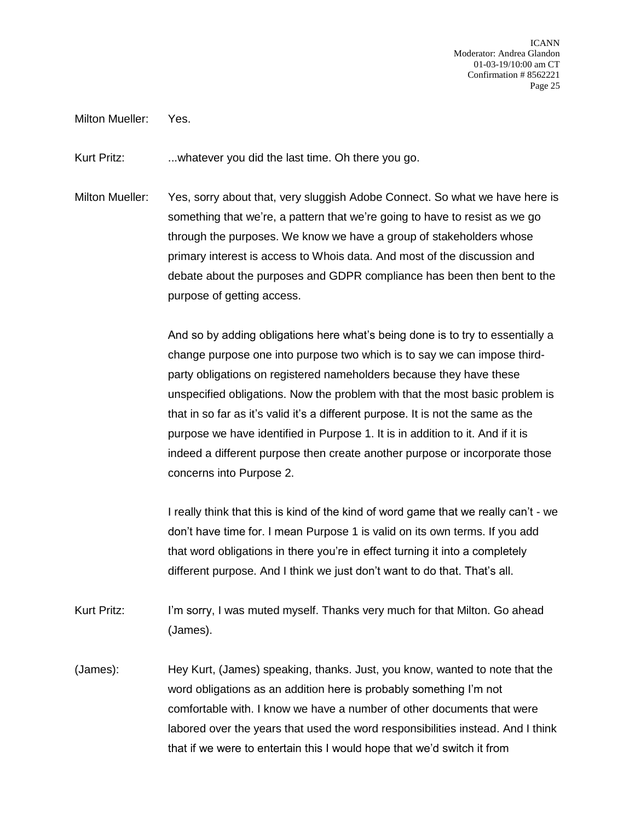Milton Mueller: Yes.

Kurt Pritz: ...whatever you did the last time. Oh there you go.

Milton Mueller: Yes, sorry about that, very sluggish Adobe Connect. So what we have here is something that we're, a pattern that we're going to have to resist as we go through the purposes. We know we have a group of stakeholders whose primary interest is access to Whois data. And most of the discussion and debate about the purposes and GDPR compliance has been then bent to the purpose of getting access.

> And so by adding obligations here what's being done is to try to essentially a change purpose one into purpose two which is to say we can impose thirdparty obligations on registered nameholders because they have these unspecified obligations. Now the problem with that the most basic problem is that in so far as it's valid it's a different purpose. It is not the same as the purpose we have identified in Purpose 1. It is in addition to it. And if it is indeed a different purpose then create another purpose or incorporate those concerns into Purpose 2.

> I really think that this is kind of the kind of word game that we really can't - we don't have time for. I mean Purpose 1 is valid on its own terms. If you add that word obligations in there you're in effect turning it into a completely different purpose. And I think we just don't want to do that. That's all.

- Kurt Pritz: I'm sorry, I was muted myself. Thanks very much for that Milton. Go ahead (James).
- (James): Hey Kurt, (James) speaking, thanks. Just, you know, wanted to note that the word obligations as an addition here is probably something I'm not comfortable with. I know we have a number of other documents that were labored over the years that used the word responsibilities instead. And I think that if we were to entertain this I would hope that we'd switch it from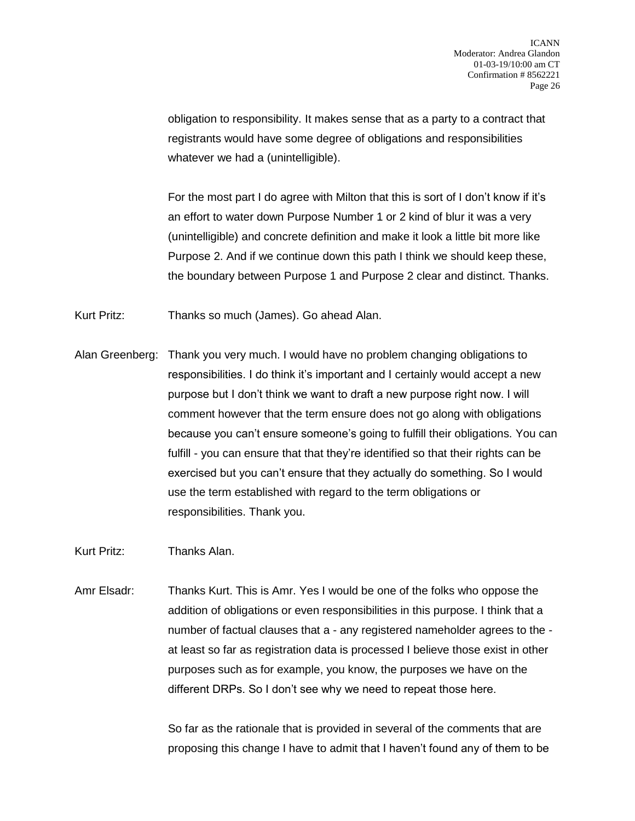obligation to responsibility. It makes sense that as a party to a contract that registrants would have some degree of obligations and responsibilities whatever we had a (unintelligible).

For the most part I do agree with Milton that this is sort of I don't know if it's an effort to water down Purpose Number 1 or 2 kind of blur it was a very (unintelligible) and concrete definition and make it look a little bit more like Purpose 2. And if we continue down this path I think we should keep these, the boundary between Purpose 1 and Purpose 2 clear and distinct. Thanks.

Kurt Pritz: Thanks so much (James). Go ahead Alan.

Alan Greenberg: Thank you very much. I would have no problem changing obligations to responsibilities. I do think it's important and I certainly would accept a new purpose but I don't think we want to draft a new purpose right now. I will comment however that the term ensure does not go along with obligations because you can't ensure someone's going to fulfill their obligations. You can fulfill - you can ensure that that they're identified so that their rights can be exercised but you can't ensure that they actually do something. So I would use the term established with regard to the term obligations or responsibilities. Thank you.

Kurt Pritz: Thanks Alan.

Amr Elsadr: Thanks Kurt. This is Amr. Yes I would be one of the folks who oppose the addition of obligations or even responsibilities in this purpose. I think that a number of factual clauses that a - any registered nameholder agrees to the at least so far as registration data is processed I believe those exist in other purposes such as for example, you know, the purposes we have on the different DRPs. So I don't see why we need to repeat those here.

> So far as the rationale that is provided in several of the comments that are proposing this change I have to admit that I haven't found any of them to be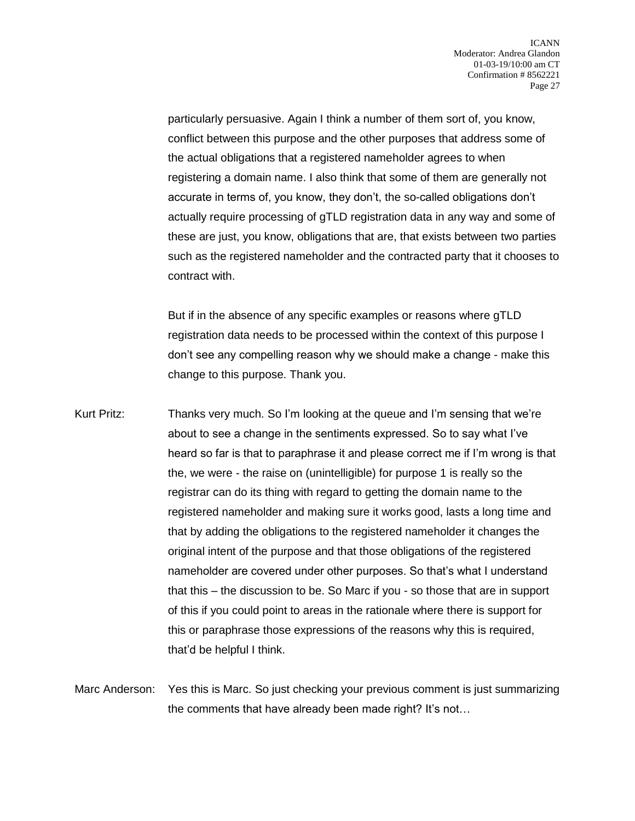particularly persuasive. Again I think a number of them sort of, you know, conflict between this purpose and the other purposes that address some of the actual obligations that a registered nameholder agrees to when registering a domain name. I also think that some of them are generally not accurate in terms of, you know, they don't, the so-called obligations don't actually require processing of gTLD registration data in any way and some of these are just, you know, obligations that are, that exists between two parties such as the registered nameholder and the contracted party that it chooses to contract with.

But if in the absence of any specific examples or reasons where gTLD registration data needs to be processed within the context of this purpose I don't see any compelling reason why we should make a change - make this change to this purpose. Thank you.

- Kurt Pritz: Thanks very much. So I'm looking at the queue and I'm sensing that we're about to see a change in the sentiments expressed. So to say what I've heard so far is that to paraphrase it and please correct me if I'm wrong is that the, we were - the raise on (unintelligible) for purpose 1 is really so the registrar can do its thing with regard to getting the domain name to the registered nameholder and making sure it works good, lasts a long time and that by adding the obligations to the registered nameholder it changes the original intent of the purpose and that those obligations of the registered nameholder are covered under other purposes. So that's what I understand that this – the discussion to be. So Marc if you - so those that are in support of this if you could point to areas in the rationale where there is support for this or paraphrase those expressions of the reasons why this is required, that'd be helpful I think.
- Marc Anderson: Yes this is Marc. So just checking your previous comment is just summarizing the comments that have already been made right? It's not…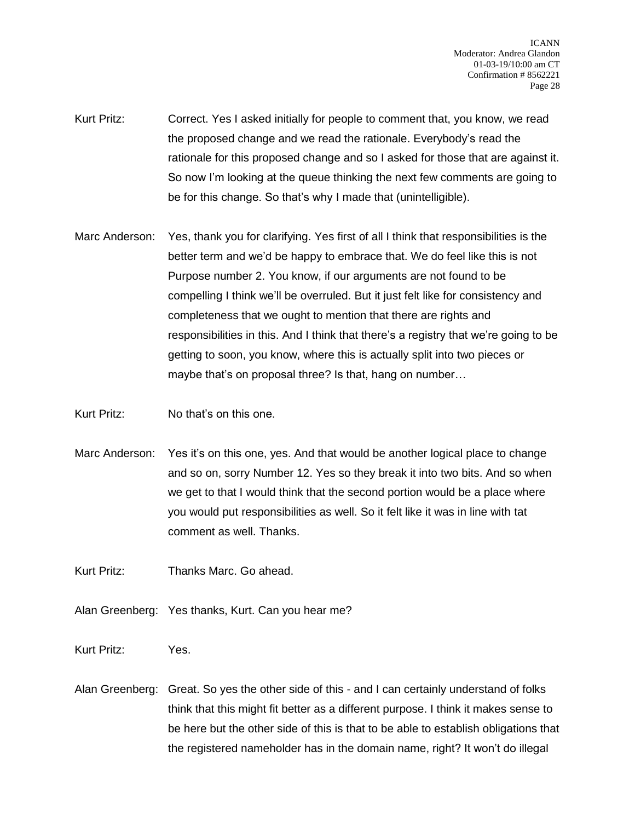- Kurt Pritz: Correct. Yes I asked initially for people to comment that, you know, we read the proposed change and we read the rationale. Everybody's read the rationale for this proposed change and so I asked for those that are against it. So now I'm looking at the queue thinking the next few comments are going to be for this change. So that's why I made that (unintelligible).
- Marc Anderson: Yes, thank you for clarifying. Yes first of all I think that responsibilities is the better term and we'd be happy to embrace that. We do feel like this is not Purpose number 2. You know, if our arguments are not found to be compelling I think we'll be overruled. But it just felt like for consistency and completeness that we ought to mention that there are rights and responsibilities in this. And I think that there's a registry that we're going to be getting to soon, you know, where this is actually split into two pieces or maybe that's on proposal three? Is that, hang on number…
- Kurt Pritz: No that's on this one.
- Marc Anderson: Yes it's on this one, yes. And that would be another logical place to change and so on, sorry Number 12. Yes so they break it into two bits. And so when we get to that I would think that the second portion would be a place where you would put responsibilities as well. So it felt like it was in line with tat comment as well. Thanks.

Kurt Pritz: Thanks Marc. Go ahead.

Alan Greenberg: Yes thanks, Kurt. Can you hear me?

Kurt Pritz: Yes.

Alan Greenberg: Great. So yes the other side of this - and I can certainly understand of folks think that this might fit better as a different purpose. I think it makes sense to be here but the other side of this is that to be able to establish obligations that the registered nameholder has in the domain name, right? It won't do illegal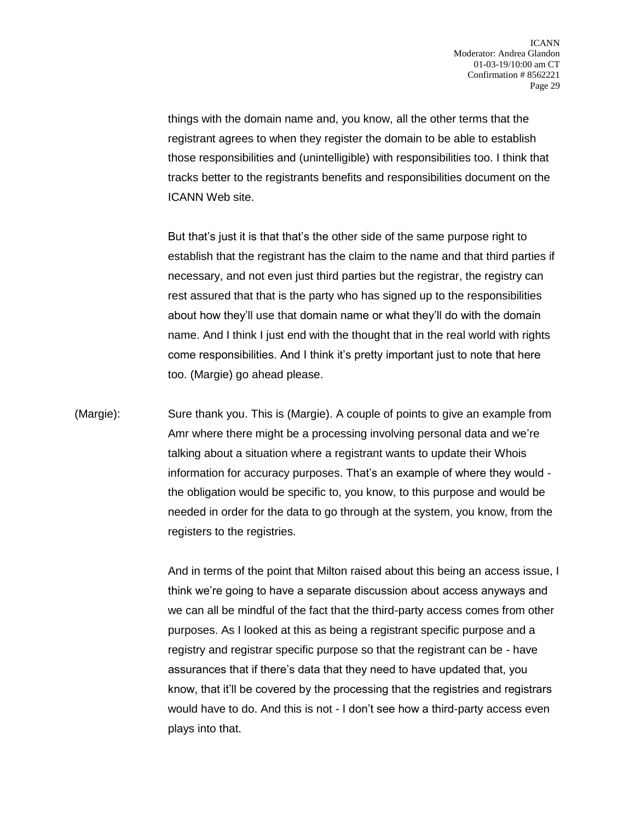things with the domain name and, you know, all the other terms that the registrant agrees to when they register the domain to be able to establish those responsibilities and (unintelligible) with responsibilities too. I think that tracks better to the registrants benefits and responsibilities document on the ICANN Web site.

But that's just it is that that's the other side of the same purpose right to establish that the registrant has the claim to the name and that third parties if necessary, and not even just third parties but the registrar, the registry can rest assured that that is the party who has signed up to the responsibilities about how they'll use that domain name or what they'll do with the domain name. And I think I just end with the thought that in the real world with rights come responsibilities. And I think it's pretty important just to note that here too. (Margie) go ahead please.

(Margie): Sure thank you. This is (Margie). A couple of points to give an example from Amr where there might be a processing involving personal data and we're talking about a situation where a registrant wants to update their Whois information for accuracy purposes. That's an example of where they would the obligation would be specific to, you know, to this purpose and would be needed in order for the data to go through at the system, you know, from the registers to the registries.

> And in terms of the point that Milton raised about this being an access issue, I think we're going to have a separate discussion about access anyways and we can all be mindful of the fact that the third-party access comes from other purposes. As I looked at this as being a registrant specific purpose and a registry and registrar specific purpose so that the registrant can be - have assurances that if there's data that they need to have updated that, you know, that it'll be covered by the processing that the registries and registrars would have to do. And this is not - I don't see how a third-party access even plays into that.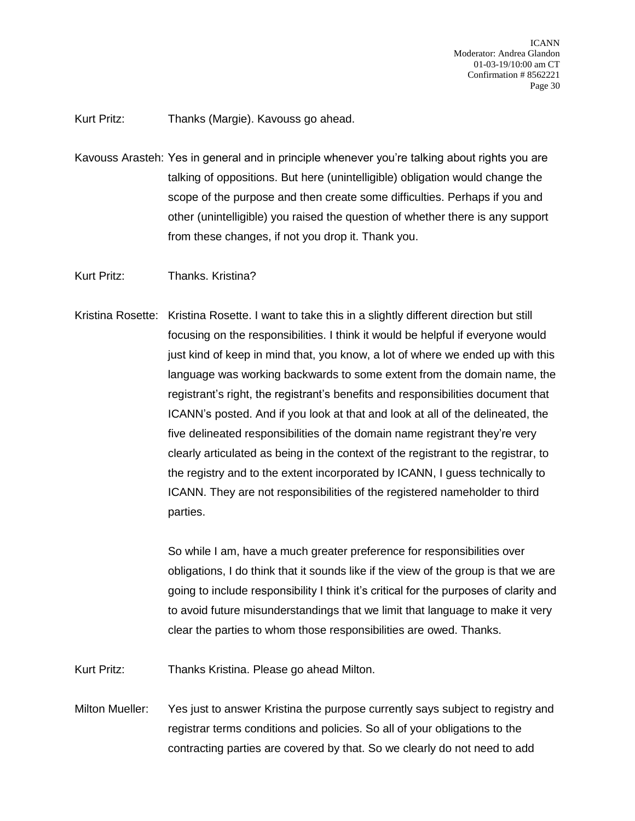Kurt Pritz: Thanks (Margie). Kavouss go ahead.

- Kavouss Arasteh: Yes in general and in principle whenever you're talking about rights you are talking of oppositions. But here (unintelligible) obligation would change the scope of the purpose and then create some difficulties. Perhaps if you and other (unintelligible) you raised the question of whether there is any support from these changes, if not you drop it. Thank you.
- Kurt Pritz: Thanks. Kristina?
- Kristina Rosette: Kristina Rosette. I want to take this in a slightly different direction but still focusing on the responsibilities. I think it would be helpful if everyone would just kind of keep in mind that, you know, a lot of where we ended up with this language was working backwards to some extent from the domain name, the registrant's right, the registrant's benefits and responsibilities document that ICANN's posted. And if you look at that and look at all of the delineated, the five delineated responsibilities of the domain name registrant they're very clearly articulated as being in the context of the registrant to the registrar, to the registry and to the extent incorporated by ICANN, I guess technically to ICANN. They are not responsibilities of the registered nameholder to third parties.

So while I am, have a much greater preference for responsibilities over obligations, I do think that it sounds like if the view of the group is that we are going to include responsibility I think it's critical for the purposes of clarity and to avoid future misunderstandings that we limit that language to make it very clear the parties to whom those responsibilities are owed. Thanks.

Kurt Pritz: Thanks Kristina. Please go ahead Milton.

Milton Mueller: Yes just to answer Kristina the purpose currently says subject to registry and registrar terms conditions and policies. So all of your obligations to the contracting parties are covered by that. So we clearly do not need to add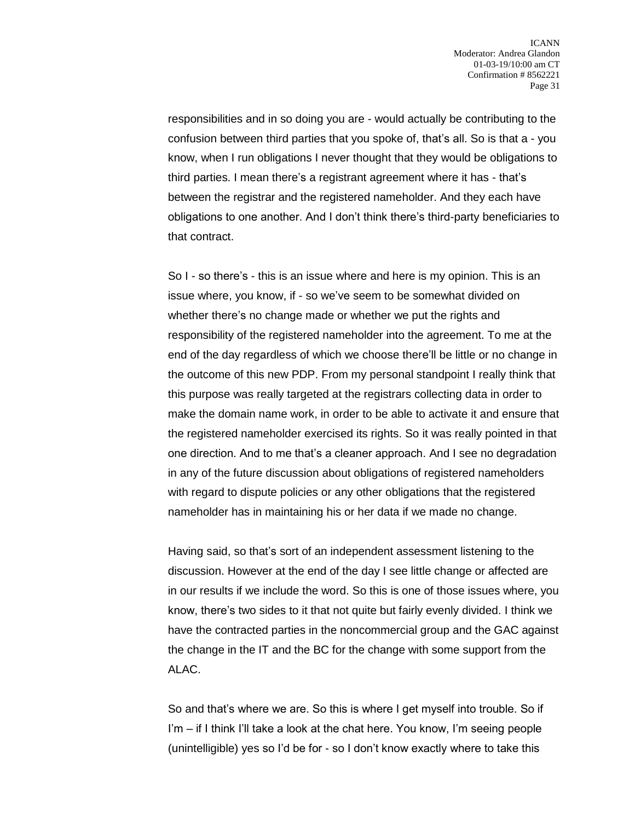responsibilities and in so doing you are - would actually be contributing to the confusion between third parties that you spoke of, that's all. So is that a - you know, when I run obligations I never thought that they would be obligations to third parties. I mean there's a registrant agreement where it has - that's between the registrar and the registered nameholder. And they each have obligations to one another. And I don't think there's third-party beneficiaries to that contract.

So I - so there's - this is an issue where and here is my opinion. This is an issue where, you know, if - so we've seem to be somewhat divided on whether there's no change made or whether we put the rights and responsibility of the registered nameholder into the agreement. To me at the end of the day regardless of which we choose there'll be little or no change in the outcome of this new PDP. From my personal standpoint I really think that this purpose was really targeted at the registrars collecting data in order to make the domain name work, in order to be able to activate it and ensure that the registered nameholder exercised its rights. So it was really pointed in that one direction. And to me that's a cleaner approach. And I see no degradation in any of the future discussion about obligations of registered nameholders with regard to dispute policies or any other obligations that the registered nameholder has in maintaining his or her data if we made no change.

Having said, so that's sort of an independent assessment listening to the discussion. However at the end of the day I see little change or affected are in our results if we include the word. So this is one of those issues where, you know, there's two sides to it that not quite but fairly evenly divided. I think we have the contracted parties in the noncommercial group and the GAC against the change in the IT and the BC for the change with some support from the ALAC.

So and that's where we are. So this is where I get myself into trouble. So if I'm – if I think I'll take a look at the chat here. You know, I'm seeing people (unintelligible) yes so I'd be for - so I don't know exactly where to take this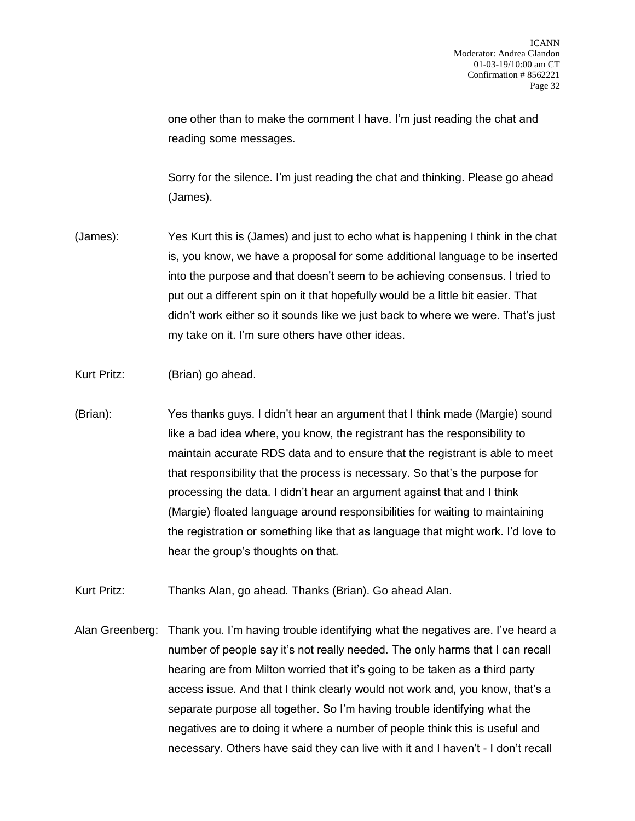one other than to make the comment I have. I'm just reading the chat and reading some messages.

Sorry for the silence. I'm just reading the chat and thinking. Please go ahead (James).

- (James): Yes Kurt this is (James) and just to echo what is happening I think in the chat is, you know, we have a proposal for some additional language to be inserted into the purpose and that doesn't seem to be achieving consensus. I tried to put out a different spin on it that hopefully would be a little bit easier. That didn't work either so it sounds like we just back to where we were. That's just my take on it. I'm sure others have other ideas.
- Kurt Pritz: (Brian) go ahead.
- (Brian): Yes thanks guys. I didn't hear an argument that I think made (Margie) sound like a bad idea where, you know, the registrant has the responsibility to maintain accurate RDS data and to ensure that the registrant is able to meet that responsibility that the process is necessary. So that's the purpose for processing the data. I didn't hear an argument against that and I think (Margie) floated language around responsibilities for waiting to maintaining the registration or something like that as language that might work. I'd love to hear the group's thoughts on that.
- Kurt Pritz: Thanks Alan, go ahead. Thanks (Brian). Go ahead Alan.
- Alan Greenberg: Thank you. I'm having trouble identifying what the negatives are. I've heard a number of people say it's not really needed. The only harms that I can recall hearing are from Milton worried that it's going to be taken as a third party access issue. And that I think clearly would not work and, you know, that's a separate purpose all together. So I'm having trouble identifying what the negatives are to doing it where a number of people think this is useful and necessary. Others have said they can live with it and I haven't - I don't recall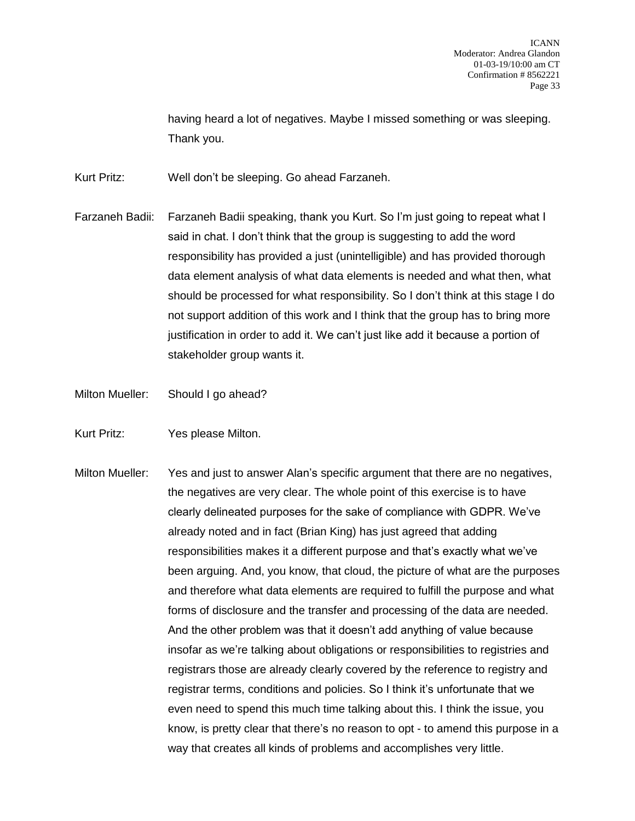having heard a lot of negatives. Maybe I missed something or was sleeping. Thank you.

Kurt Pritz: Well don't be sleeping. Go ahead Farzaneh.

- Farzaneh Badii: Farzaneh Badii speaking, thank you Kurt. So I'm just going to repeat what I said in chat. I don't think that the group is suggesting to add the word responsibility has provided a just (unintelligible) and has provided thorough data element analysis of what data elements is needed and what then, what should be processed for what responsibility. So I don't think at this stage I do not support addition of this work and I think that the group has to bring more justification in order to add it. We can't just like add it because a portion of stakeholder group wants it.
- Milton Mueller: Should I go ahead?
- Kurt Pritz: Yes please Milton.
- Milton Mueller: Yes and just to answer Alan's specific argument that there are no negatives, the negatives are very clear. The whole point of this exercise is to have clearly delineated purposes for the sake of compliance with GDPR. We've already noted and in fact (Brian King) has just agreed that adding responsibilities makes it a different purpose and that's exactly what we've been arguing. And, you know, that cloud, the picture of what are the purposes and therefore what data elements are required to fulfill the purpose and what forms of disclosure and the transfer and processing of the data are needed. And the other problem was that it doesn't add anything of value because insofar as we're talking about obligations or responsibilities to registries and registrars those are already clearly covered by the reference to registry and registrar terms, conditions and policies. So I think it's unfortunate that we even need to spend this much time talking about this. I think the issue, you know, is pretty clear that there's no reason to opt - to amend this purpose in a way that creates all kinds of problems and accomplishes very little.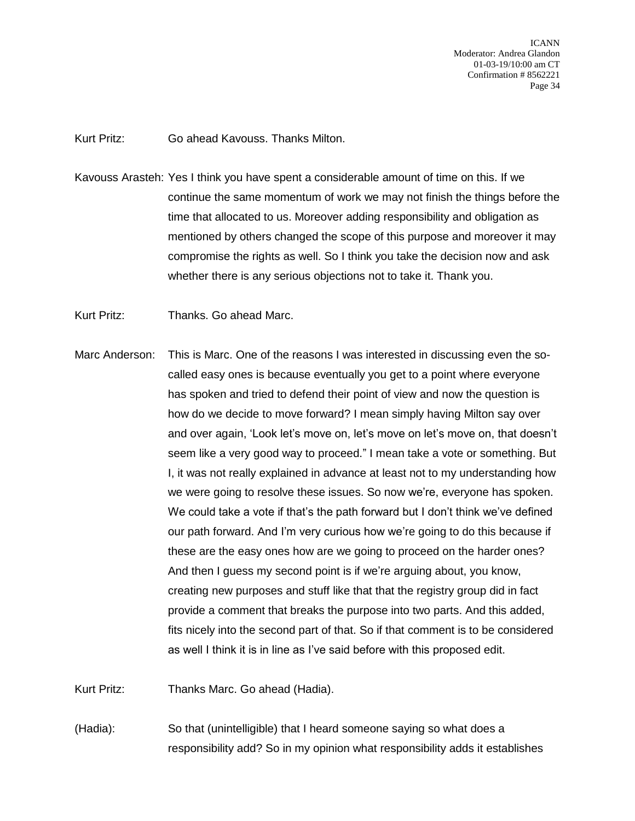Kurt Pritz: Go ahead Kavouss. Thanks Milton.

- Kavouss Arasteh: Yes I think you have spent a considerable amount of time on this. If we continue the same momentum of work we may not finish the things before the time that allocated to us. Moreover adding responsibility and obligation as mentioned by others changed the scope of this purpose and moreover it may compromise the rights as well. So I think you take the decision now and ask whether there is any serious objections not to take it. Thank you.
- Kurt Pritz: Thanks. Go ahead Marc.
- Marc Anderson: This is Marc. One of the reasons I was interested in discussing even the socalled easy ones is because eventually you get to a point where everyone has spoken and tried to defend their point of view and now the question is how do we decide to move forward? I mean simply having Milton say over and over again, 'Look let's move on, let's move on let's move on, that doesn't seem like a very good way to proceed." I mean take a vote or something. But I, it was not really explained in advance at least not to my understanding how we were going to resolve these issues. So now we're, everyone has spoken. We could take a vote if that's the path forward but I don't think we've defined our path forward. And I'm very curious how we're going to do this because if these are the easy ones how are we going to proceed on the harder ones? And then I guess my second point is if we're arguing about, you know, creating new purposes and stuff like that that the registry group did in fact provide a comment that breaks the purpose into two parts. And this added, fits nicely into the second part of that. So if that comment is to be considered as well I think it is in line as I've said before with this proposed edit.

Kurt Pritz: Thanks Marc. Go ahead (Hadia).

(Hadia): So that (unintelligible) that I heard someone saying so what does a responsibility add? So in my opinion what responsibility adds it establishes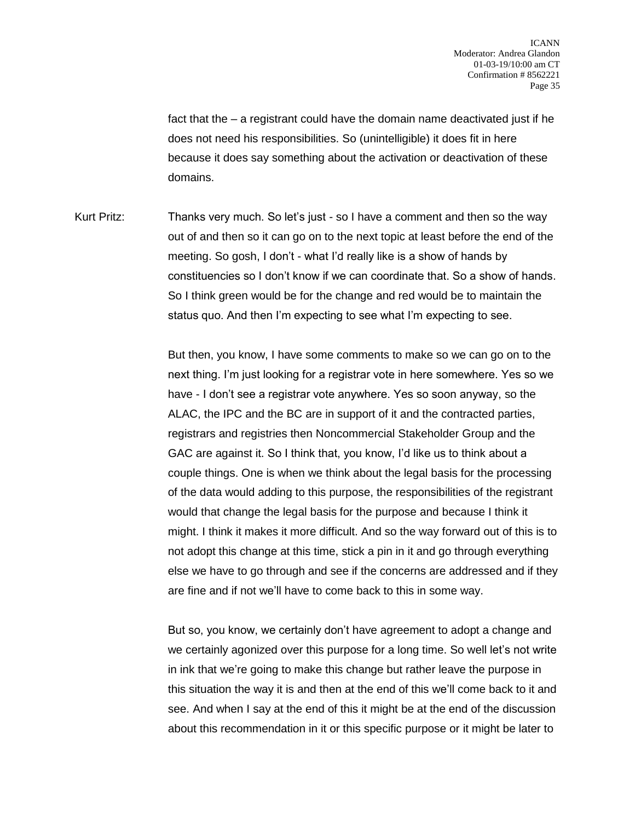fact that the – a registrant could have the domain name deactivated just if he does not need his responsibilities. So (unintelligible) it does fit in here because it does say something about the activation or deactivation of these domains.

Kurt Pritz: Thanks very much. So let's just - so I have a comment and then so the way out of and then so it can go on to the next topic at least before the end of the meeting. So gosh, I don't - what I'd really like is a show of hands by constituencies so I don't know if we can coordinate that. So a show of hands. So I think green would be for the change and red would be to maintain the status quo. And then I'm expecting to see what I'm expecting to see.

> But then, you know, I have some comments to make so we can go on to the next thing. I'm just looking for a registrar vote in here somewhere. Yes so we have - I don't see a registrar vote anywhere. Yes so soon anyway, so the ALAC, the IPC and the BC are in support of it and the contracted parties, registrars and registries then Noncommercial Stakeholder Group and the GAC are against it. So I think that, you know, I'd like us to think about a couple things. One is when we think about the legal basis for the processing of the data would adding to this purpose, the responsibilities of the registrant would that change the legal basis for the purpose and because I think it might. I think it makes it more difficult. And so the way forward out of this is to not adopt this change at this time, stick a pin in it and go through everything else we have to go through and see if the concerns are addressed and if they are fine and if not we'll have to come back to this in some way.

> But so, you know, we certainly don't have agreement to adopt a change and we certainly agonized over this purpose for a long time. So well let's not write in ink that we're going to make this change but rather leave the purpose in this situation the way it is and then at the end of this we'll come back to it and see. And when I say at the end of this it might be at the end of the discussion about this recommendation in it or this specific purpose or it might be later to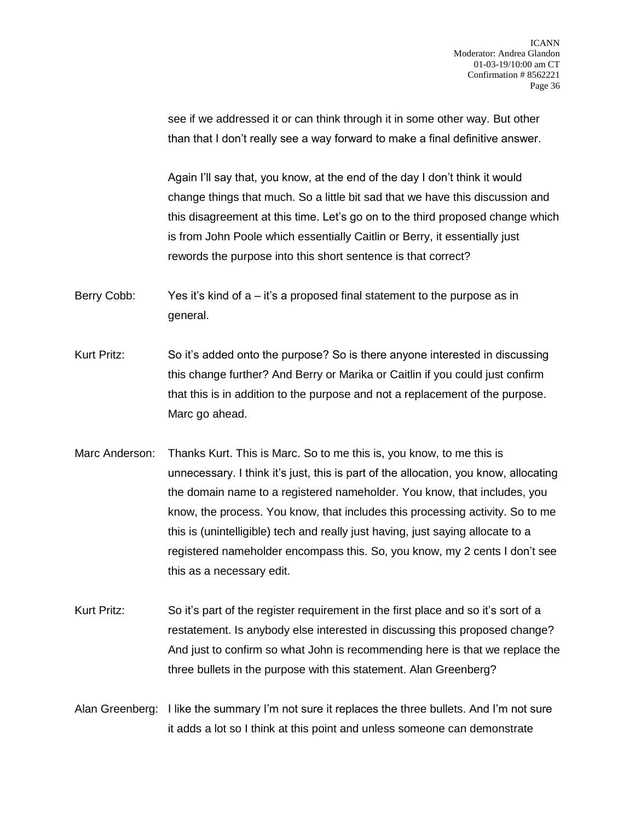see if we addressed it or can think through it in some other way. But other than that I don't really see a way forward to make a final definitive answer.

Again I'll say that, you know, at the end of the day I don't think it would change things that much. So a little bit sad that we have this discussion and this disagreement at this time. Let's go on to the third proposed change which is from John Poole which essentially Caitlin or Berry, it essentially just rewords the purpose into this short sentence is that correct?

Berry Cobb: Yes it's kind of a – it's a proposed final statement to the purpose as in general.

- Kurt Pritz: So it's added onto the purpose? So is there anyone interested in discussing this change further? And Berry or Marika or Caitlin if you could just confirm that this is in addition to the purpose and not a replacement of the purpose. Marc go ahead.
- Marc Anderson: Thanks Kurt. This is Marc. So to me this is, you know, to me this is unnecessary. I think it's just, this is part of the allocation, you know, allocating the domain name to a registered nameholder. You know, that includes, you know, the process. You know, that includes this processing activity. So to me this is (unintelligible) tech and really just having, just saying allocate to a registered nameholder encompass this. So, you know, my 2 cents I don't see this as a necessary edit.
- Kurt Pritz: So it's part of the register requirement in the first place and so it's sort of a restatement. Is anybody else interested in discussing this proposed change? And just to confirm so what John is recommending here is that we replace the three bullets in the purpose with this statement. Alan Greenberg?
- Alan Greenberg: I like the summary I'm not sure it replaces the three bullets. And I'm not sure it adds a lot so I think at this point and unless someone can demonstrate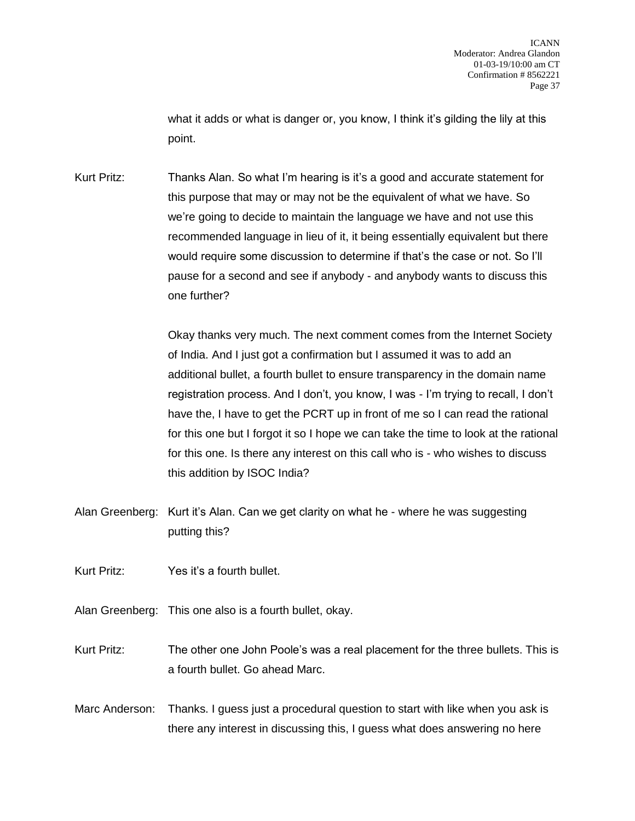what it adds or what is danger or, you know, I think it's gilding the lily at this point.

Kurt Pritz: Thanks Alan. So what I'm hearing is it's a good and accurate statement for this purpose that may or may not be the equivalent of what we have. So we're going to decide to maintain the language we have and not use this recommended language in lieu of it, it being essentially equivalent but there would require some discussion to determine if that's the case or not. So I'll pause for a second and see if anybody - and anybody wants to discuss this one further?

> Okay thanks very much. The next comment comes from the Internet Society of India. And I just got a confirmation but I assumed it was to add an additional bullet, a fourth bullet to ensure transparency in the domain name registration process. And I don't, you know, I was - I'm trying to recall, I don't have the, I have to get the PCRT up in front of me so I can read the rational for this one but I forgot it so I hope we can take the time to look at the rational for this one. Is there any interest on this call who is - who wishes to discuss this addition by ISOC India?

Alan Greenberg: Kurt it's Alan. Can we get clarity on what he - where he was suggesting putting this?

Kurt Pritz: Yes it's a fourth bullet.

- Alan Greenberg: This one also is a fourth bullet, okay.
- Kurt Pritz: The other one John Poole's was a real placement for the three bullets. This is a fourth bullet. Go ahead Marc.
- Marc Anderson: Thanks. I guess just a procedural question to start with like when you ask is there any interest in discussing this, I guess what does answering no here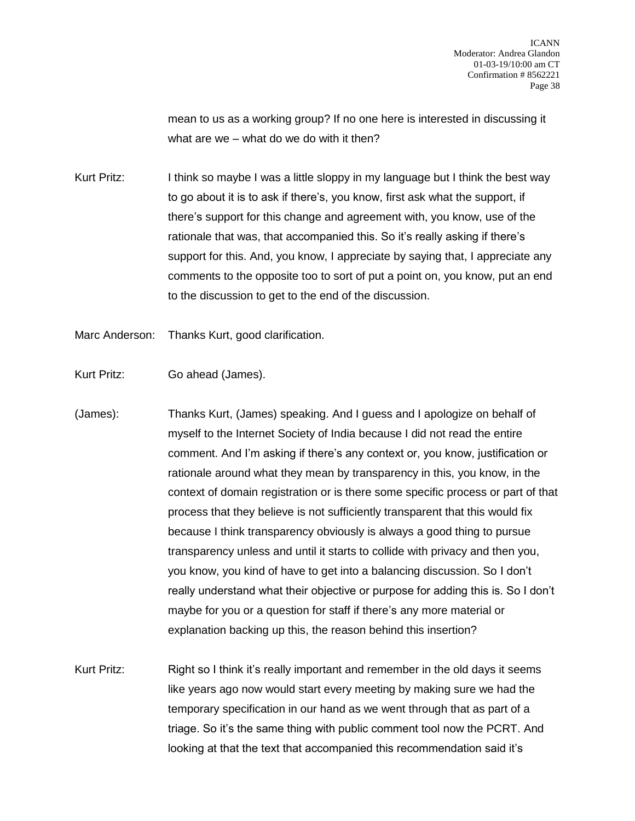mean to us as a working group? If no one here is interested in discussing it what are we – what do we do with it then?

Kurt Pritz: I think so maybe I was a little sloppy in my language but I think the best way to go about it is to ask if there's, you know, first ask what the support, if there's support for this change and agreement with, you know, use of the rationale that was, that accompanied this. So it's really asking if there's support for this. And, you know, I appreciate by saying that, I appreciate any comments to the opposite too to sort of put a point on, you know, put an end to the discussion to get to the end of the discussion.

Marc Anderson: Thanks Kurt, good clarification.

Kurt Pritz: Go ahead (James).

(James): Thanks Kurt, (James) speaking. And I guess and I apologize on behalf of myself to the Internet Society of India because I did not read the entire comment. And I'm asking if there's any context or, you know, justification or rationale around what they mean by transparency in this, you know, in the context of domain registration or is there some specific process or part of that process that they believe is not sufficiently transparent that this would fix because I think transparency obviously is always a good thing to pursue transparency unless and until it starts to collide with privacy and then you, you know, you kind of have to get into a balancing discussion. So I don't really understand what their objective or purpose for adding this is. So I don't maybe for you or a question for staff if there's any more material or explanation backing up this, the reason behind this insertion?

Kurt Pritz: Right so I think it's really important and remember in the old days it seems like years ago now would start every meeting by making sure we had the temporary specification in our hand as we went through that as part of a triage. So it's the same thing with public comment tool now the PCRT. And looking at that the text that accompanied this recommendation said it's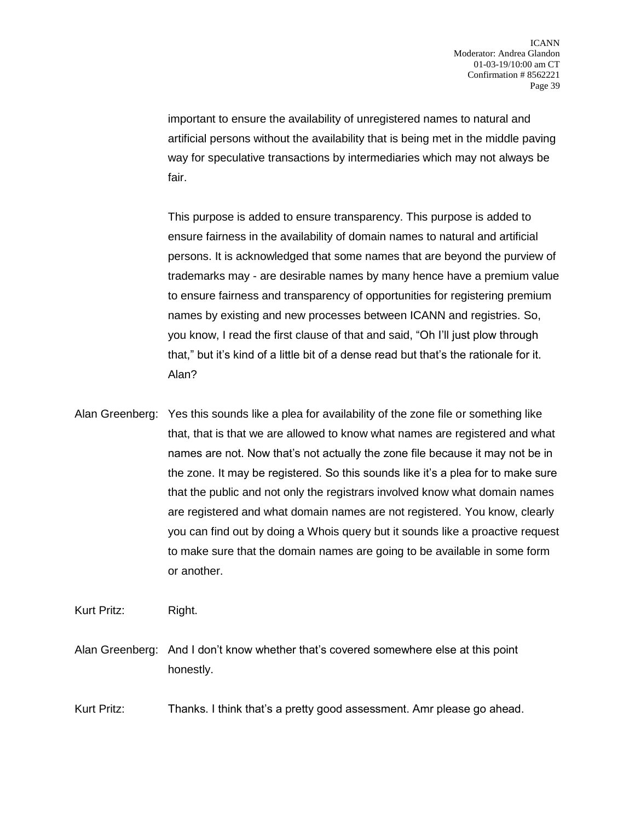important to ensure the availability of unregistered names to natural and artificial persons without the availability that is being met in the middle paving way for speculative transactions by intermediaries which may not always be fair.

This purpose is added to ensure transparency. This purpose is added to ensure fairness in the availability of domain names to natural and artificial persons. It is acknowledged that some names that are beyond the purview of trademarks may - are desirable names by many hence have a premium value to ensure fairness and transparency of opportunities for registering premium names by existing and new processes between ICANN and registries. So, you know, I read the first clause of that and said, "Oh I'll just plow through that," but it's kind of a little bit of a dense read but that's the rationale for it. Alan?

Alan Greenberg: Yes this sounds like a plea for availability of the zone file or something like that, that is that we are allowed to know what names are registered and what names are not. Now that's not actually the zone file because it may not be in the zone. It may be registered. So this sounds like it's a plea for to make sure that the public and not only the registrars involved know what domain names are registered and what domain names are not registered. You know, clearly you can find out by doing a Whois query but it sounds like a proactive request to make sure that the domain names are going to be available in some form or another.

Kurt Pritz: Right.

Alan Greenberg: And I don't know whether that's covered somewhere else at this point honestly.

Kurt Pritz: Thanks. I think that's a pretty good assessment. Amr please go ahead.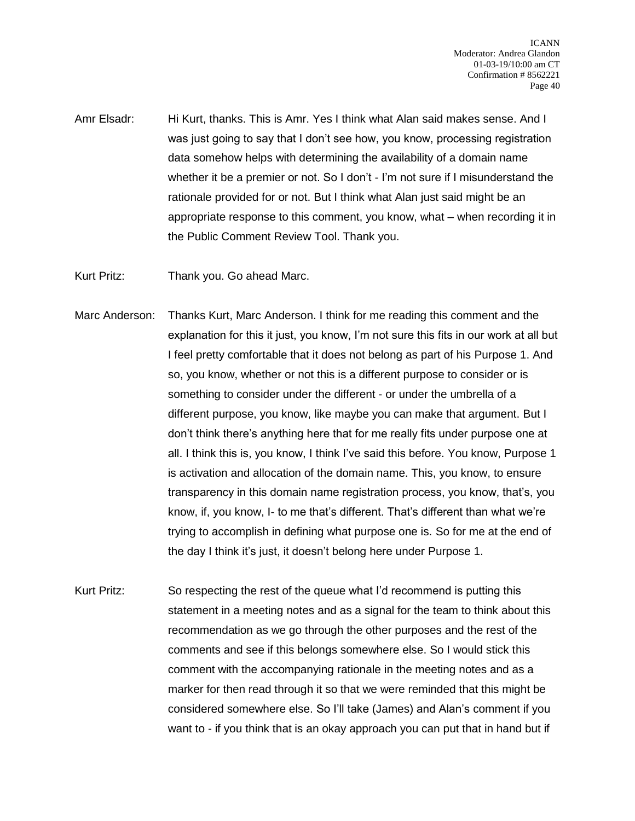Amr Elsadr: Hi Kurt, thanks. This is Amr. Yes I think what Alan said makes sense. And I was just going to say that I don't see how, you know, processing registration data somehow helps with determining the availability of a domain name whether it be a premier or not. So I don't - I'm not sure if I misunderstand the rationale provided for or not. But I think what Alan just said might be an appropriate response to this comment, you know, what – when recording it in the Public Comment Review Tool. Thank you.

Kurt Pritz: Thank you. Go ahead Marc.

- Marc Anderson: Thanks Kurt, Marc Anderson. I think for me reading this comment and the explanation for this it just, you know, I'm not sure this fits in our work at all but I feel pretty comfortable that it does not belong as part of his Purpose 1. And so, you know, whether or not this is a different purpose to consider or is something to consider under the different - or under the umbrella of a different purpose, you know, like maybe you can make that argument. But I don't think there's anything here that for me really fits under purpose one at all. I think this is, you know, I think I've said this before. You know, Purpose 1 is activation and allocation of the domain name. This, you know, to ensure transparency in this domain name registration process, you know, that's, you know, if, you know, I- to me that's different. That's different than what we're trying to accomplish in defining what purpose one is. So for me at the end of the day I think it's just, it doesn't belong here under Purpose 1.
- Kurt Pritz: So respecting the rest of the queue what I'd recommend is putting this statement in a meeting notes and as a signal for the team to think about this recommendation as we go through the other purposes and the rest of the comments and see if this belongs somewhere else. So I would stick this comment with the accompanying rationale in the meeting notes and as a marker for then read through it so that we were reminded that this might be considered somewhere else. So I'll take (James) and Alan's comment if you want to - if you think that is an okay approach you can put that in hand but if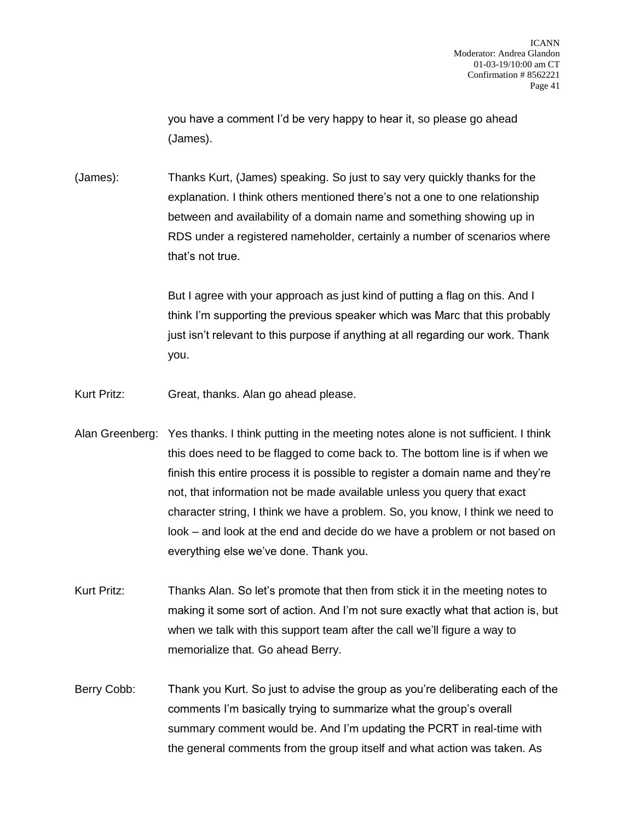you have a comment I'd be very happy to hear it, so please go ahead (James).

(James): Thanks Kurt, (James) speaking. So just to say very quickly thanks for the explanation. I think others mentioned there's not a one to one relationship between and availability of a domain name and something showing up in RDS under a registered nameholder, certainly a number of scenarios where that's not true.

> But I agree with your approach as just kind of putting a flag on this. And I think I'm supporting the previous speaker which was Marc that this probably just isn't relevant to this purpose if anything at all regarding our work. Thank you.

- Kurt Pritz: Great, thanks. Alan go ahead please.
- Alan Greenberg: Yes thanks. I think putting in the meeting notes alone is not sufficient. I think this does need to be flagged to come back to. The bottom line is if when we finish this entire process it is possible to register a domain name and they're not, that information not be made available unless you query that exact character string, I think we have a problem. So, you know, I think we need to look – and look at the end and decide do we have a problem or not based on everything else we've done. Thank you.
- Kurt Pritz: Thanks Alan. So let's promote that then from stick it in the meeting notes to making it some sort of action. And I'm not sure exactly what that action is, but when we talk with this support team after the call we'll figure a way to memorialize that. Go ahead Berry.
- Berry Cobb: Thank you Kurt. So just to advise the group as you're deliberating each of the comments I'm basically trying to summarize what the group's overall summary comment would be. And I'm updating the PCRT in real-time with the general comments from the group itself and what action was taken. As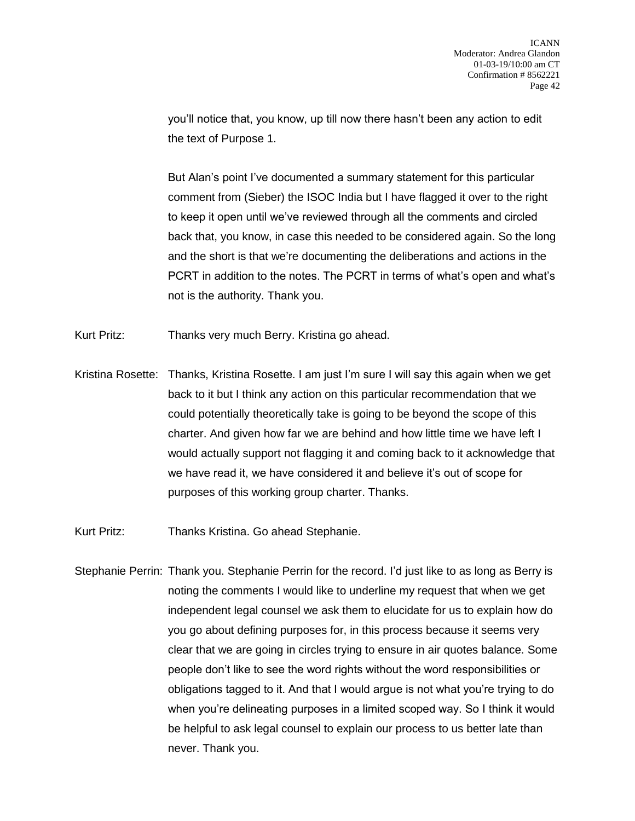you'll notice that, you know, up till now there hasn't been any action to edit the text of Purpose 1.

But Alan's point I've documented a summary statement for this particular comment from (Sieber) the ISOC India but I have flagged it over to the right to keep it open until we've reviewed through all the comments and circled back that, you know, in case this needed to be considered again. So the long and the short is that we're documenting the deliberations and actions in the PCRT in addition to the notes. The PCRT in terms of what's open and what's not is the authority. Thank you.

Kurt Pritz: Thanks very much Berry. Kristina go ahead.

Kristina Rosette: Thanks, Kristina Rosette. I am just I'm sure I will say this again when we get back to it but I think any action on this particular recommendation that we could potentially theoretically take is going to be beyond the scope of this charter. And given how far we are behind and how little time we have left I would actually support not flagging it and coming back to it acknowledge that we have read it, we have considered it and believe it's out of scope for purposes of this working group charter. Thanks.

Kurt Pritz: Thanks Kristina. Go ahead Stephanie.

Stephanie Perrin: Thank you. Stephanie Perrin for the record. I'd just like to as long as Berry is noting the comments I would like to underline my request that when we get independent legal counsel we ask them to elucidate for us to explain how do you go about defining purposes for, in this process because it seems very clear that we are going in circles trying to ensure in air quotes balance. Some people don't like to see the word rights without the word responsibilities or obligations tagged to it. And that I would argue is not what you're trying to do when you're delineating purposes in a limited scoped way. So I think it would be helpful to ask legal counsel to explain our process to us better late than never. Thank you.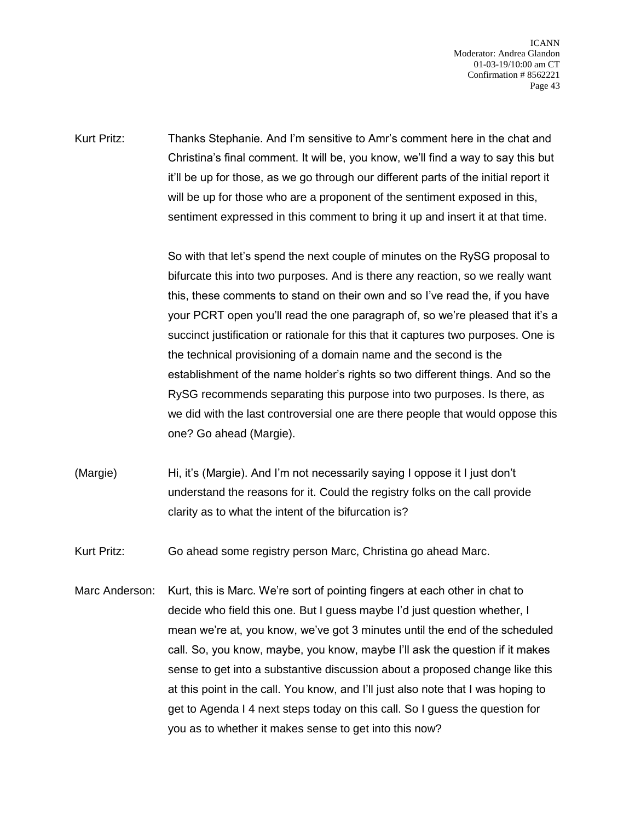Kurt Pritz: Thanks Stephanie. And I'm sensitive to Amr's comment here in the chat and Christina's final comment. It will be, you know, we'll find a way to say this but it'll be up for those, as we go through our different parts of the initial report it will be up for those who are a proponent of the sentiment exposed in this, sentiment expressed in this comment to bring it up and insert it at that time.

> So with that let's spend the next couple of minutes on the RySG proposal to bifurcate this into two purposes. And is there any reaction, so we really want this, these comments to stand on their own and so I've read the, if you have your PCRT open you'll read the one paragraph of, so we're pleased that it's a succinct justification or rationale for this that it captures two purposes. One is the technical provisioning of a domain name and the second is the establishment of the name holder's rights so two different things. And so the RySG recommends separating this purpose into two purposes. Is there, as we did with the last controversial one are there people that would oppose this one? Go ahead (Margie).

- (Margie) Hi, it's (Margie). And I'm not necessarily saying I oppose it I just don't understand the reasons for it. Could the registry folks on the call provide clarity as to what the intent of the bifurcation is?
- Kurt Pritz: Go ahead some registry person Marc, Christina go ahead Marc.
- Marc Anderson: Kurt, this is Marc. We're sort of pointing fingers at each other in chat to decide who field this one. But I guess maybe I'd just question whether, I mean we're at, you know, we've got 3 minutes until the end of the scheduled call. So, you know, maybe, you know, maybe I'll ask the question if it makes sense to get into a substantive discussion about a proposed change like this at this point in the call. You know, and I'll just also note that I was hoping to get to Agenda I 4 next steps today on this call. So I guess the question for you as to whether it makes sense to get into this now?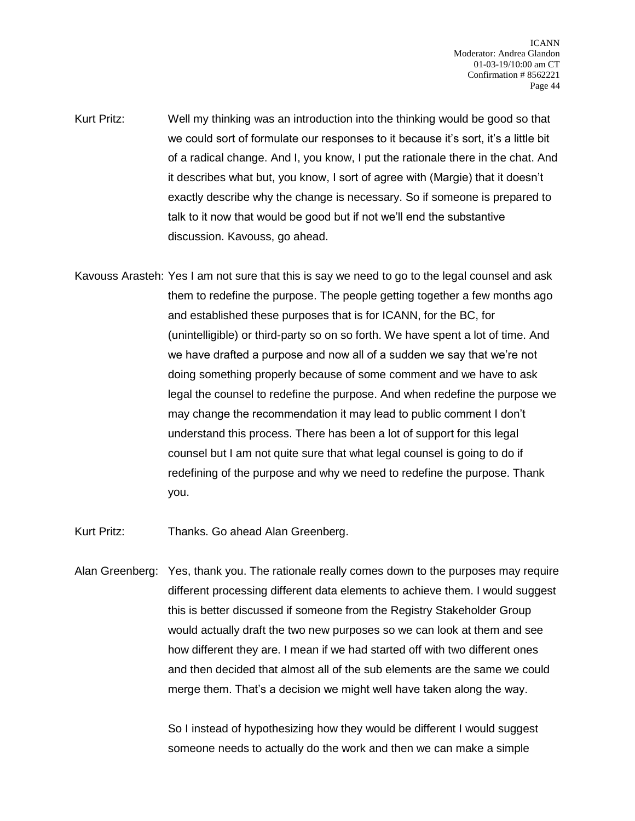- Kurt Pritz: Well my thinking was an introduction into the thinking would be good so that we could sort of formulate our responses to it because it's sort, it's a little bit of a radical change. And I, you know, I put the rationale there in the chat. And it describes what but, you know, I sort of agree with (Margie) that it doesn't exactly describe why the change is necessary. So if someone is prepared to talk to it now that would be good but if not we'll end the substantive discussion. Kavouss, go ahead.
- Kavouss Arasteh: Yes I am not sure that this is say we need to go to the legal counsel and ask them to redefine the purpose. The people getting together a few months ago and established these purposes that is for ICANN, for the BC, for (unintelligible) or third-party so on so forth. We have spent a lot of time. And we have drafted a purpose and now all of a sudden we say that we're not doing something properly because of some comment and we have to ask legal the counsel to redefine the purpose. And when redefine the purpose we may change the recommendation it may lead to public comment I don't understand this process. There has been a lot of support for this legal counsel but I am not quite sure that what legal counsel is going to do if redefining of the purpose and why we need to redefine the purpose. Thank you.
- Kurt Pritz: Thanks. Go ahead Alan Greenberg.
- Alan Greenberg: Yes, thank you. The rationale really comes down to the purposes may require different processing different data elements to achieve them. I would suggest this is better discussed if someone from the Registry Stakeholder Group would actually draft the two new purposes so we can look at them and see how different they are. I mean if we had started off with two different ones and then decided that almost all of the sub elements are the same we could merge them. That's a decision we might well have taken along the way.

So I instead of hypothesizing how they would be different I would suggest someone needs to actually do the work and then we can make a simple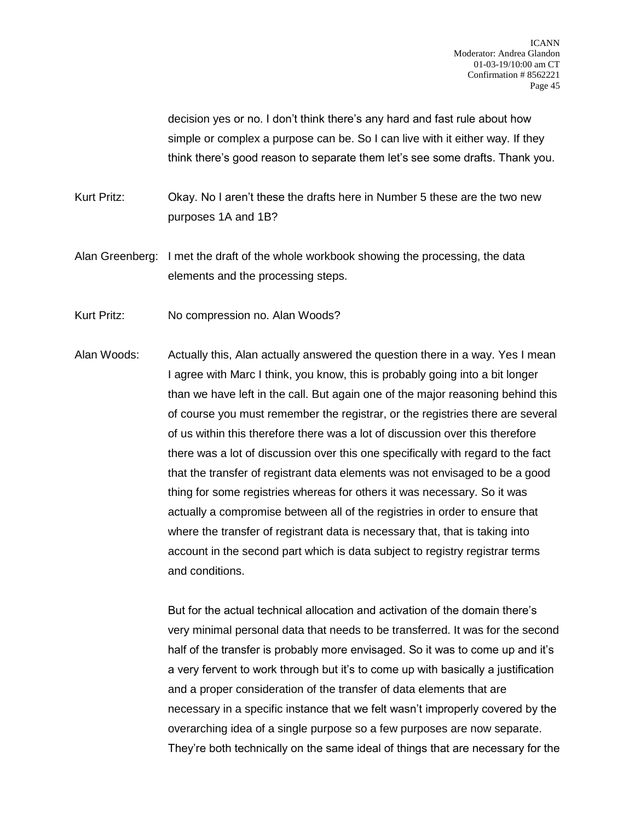decision yes or no. I don't think there's any hard and fast rule about how simple or complex a purpose can be. So I can live with it either way. If they think there's good reason to separate them let's see some drafts. Thank you.

Kurt Pritz: Okay. No I aren't these the drafts here in Number 5 these are the two new purposes 1A and 1B?

Alan Greenberg: I met the draft of the whole workbook showing the processing, the data elements and the processing steps.

Kurt Pritz: No compression no. Alan Woods?

Alan Woods: Actually this, Alan actually answered the question there in a way. Yes I mean I agree with Marc I think, you know, this is probably going into a bit longer than we have left in the call. But again one of the major reasoning behind this of course you must remember the registrar, or the registries there are several of us within this therefore there was a lot of discussion over this therefore there was a lot of discussion over this one specifically with regard to the fact that the transfer of registrant data elements was not envisaged to be a good thing for some registries whereas for others it was necessary. So it was actually a compromise between all of the registries in order to ensure that where the transfer of registrant data is necessary that, that is taking into account in the second part which is data subject to registry registrar terms and conditions.

> But for the actual technical allocation and activation of the domain there's very minimal personal data that needs to be transferred. It was for the second half of the transfer is probably more envisaged. So it was to come up and it's a very fervent to work through but it's to come up with basically a justification and a proper consideration of the transfer of data elements that are necessary in a specific instance that we felt wasn't improperly covered by the overarching idea of a single purpose so a few purposes are now separate. They're both technically on the same ideal of things that are necessary for the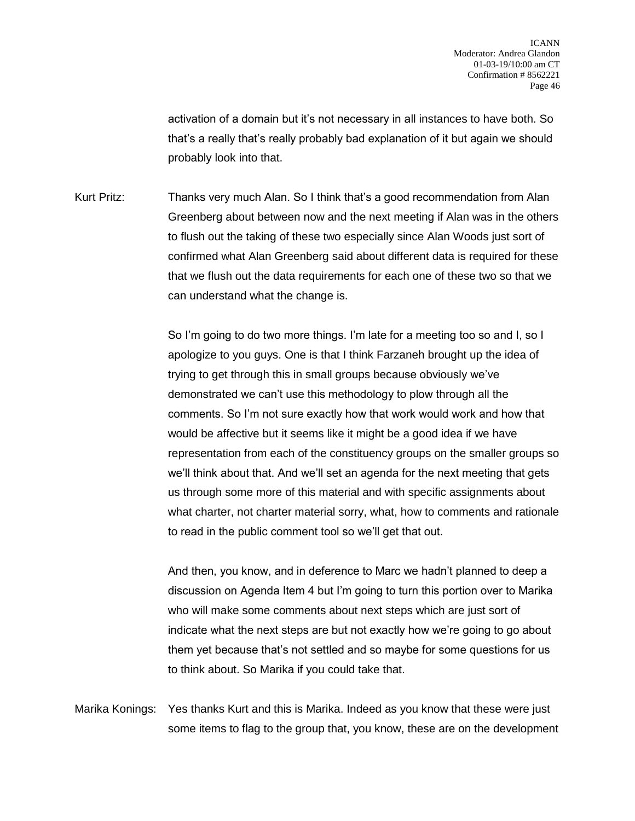activation of a domain but it's not necessary in all instances to have both. So that's a really that's really probably bad explanation of it but again we should probably look into that.

Kurt Pritz: Thanks very much Alan. So I think that's a good recommendation from Alan Greenberg about between now and the next meeting if Alan was in the others to flush out the taking of these two especially since Alan Woods just sort of confirmed what Alan Greenberg said about different data is required for these that we flush out the data requirements for each one of these two so that we can understand what the change is.

> So I'm going to do two more things. I'm late for a meeting too so and I, so I apologize to you guys. One is that I think Farzaneh brought up the idea of trying to get through this in small groups because obviously we've demonstrated we can't use this methodology to plow through all the comments. So I'm not sure exactly how that work would work and how that would be affective but it seems like it might be a good idea if we have representation from each of the constituency groups on the smaller groups so we'll think about that. And we'll set an agenda for the next meeting that gets us through some more of this material and with specific assignments about what charter, not charter material sorry, what, how to comments and rationale to read in the public comment tool so we'll get that out.

And then, you know, and in deference to Marc we hadn't planned to deep a discussion on Agenda Item 4 but I'm going to turn this portion over to Marika who will make some comments about next steps which are just sort of indicate what the next steps are but not exactly how we're going to go about them yet because that's not settled and so maybe for some questions for us to think about. So Marika if you could take that.

Marika Konings: Yes thanks Kurt and this is Marika. Indeed as you know that these were just some items to flag to the group that, you know, these are on the development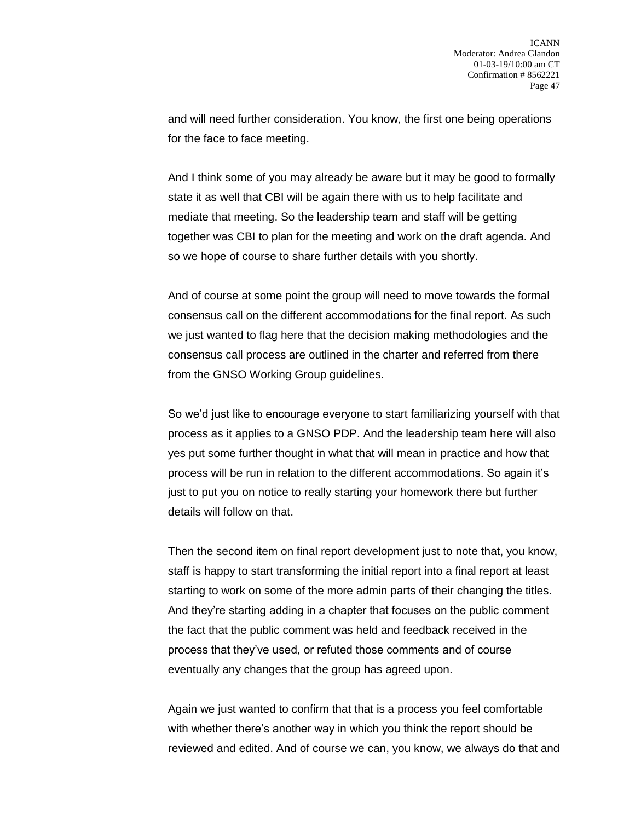and will need further consideration. You know, the first one being operations for the face to face meeting.

And I think some of you may already be aware but it may be good to formally state it as well that CBI will be again there with us to help facilitate and mediate that meeting. So the leadership team and staff will be getting together was CBI to plan for the meeting and work on the draft agenda. And so we hope of course to share further details with you shortly.

And of course at some point the group will need to move towards the formal consensus call on the different accommodations for the final report. As such we just wanted to flag here that the decision making methodologies and the consensus call process are outlined in the charter and referred from there from the GNSO Working Group guidelines.

So we'd just like to encourage everyone to start familiarizing yourself with that process as it applies to a GNSO PDP. And the leadership team here will also yes put some further thought in what that will mean in practice and how that process will be run in relation to the different accommodations. So again it's just to put you on notice to really starting your homework there but further details will follow on that.

Then the second item on final report development just to note that, you know, staff is happy to start transforming the initial report into a final report at least starting to work on some of the more admin parts of their changing the titles. And they're starting adding in a chapter that focuses on the public comment the fact that the public comment was held and feedback received in the process that they've used, or refuted those comments and of course eventually any changes that the group has agreed upon.

Again we just wanted to confirm that that is a process you feel comfortable with whether there's another way in which you think the report should be reviewed and edited. And of course we can, you know, we always do that and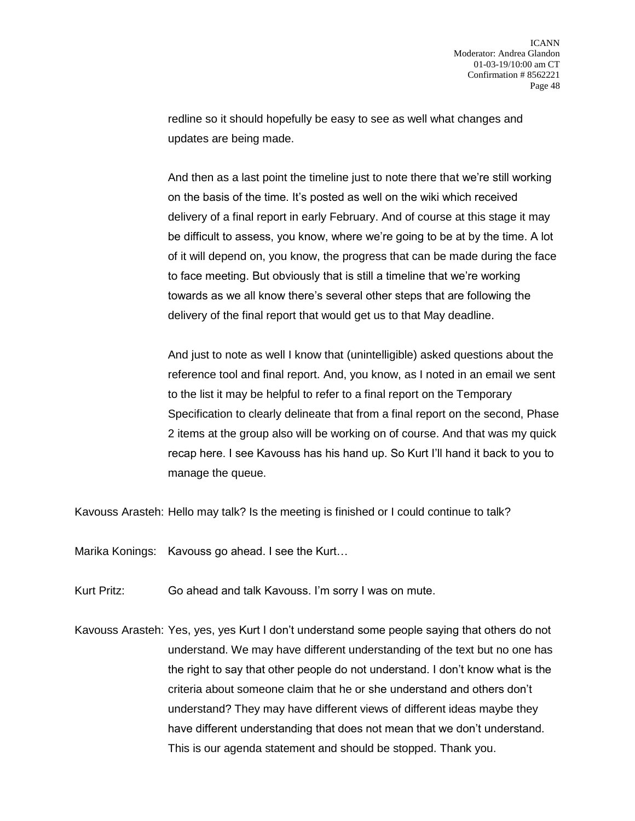redline so it should hopefully be easy to see as well what changes and updates are being made.

And then as a last point the timeline just to note there that we're still working on the basis of the time. It's posted as well on the wiki which received delivery of a final report in early February. And of course at this stage it may be difficult to assess, you know, where we're going to be at by the time. A lot of it will depend on, you know, the progress that can be made during the face to face meeting. But obviously that is still a timeline that we're working towards as we all know there's several other steps that are following the delivery of the final report that would get us to that May deadline.

And just to note as well I know that (unintelligible) asked questions about the reference tool and final report. And, you know, as I noted in an email we sent to the list it may be helpful to refer to a final report on the Temporary Specification to clearly delineate that from a final report on the second, Phase 2 items at the group also will be working on of course. And that was my quick recap here. I see Kavouss has his hand up. So Kurt I'll hand it back to you to manage the queue.

Kavouss Arasteh: Hello may talk? Is the meeting is finished or I could continue to talk?

Marika Konings: Kavouss go ahead. I see the Kurt…

Kurt Pritz: Go ahead and talk Kavouss. I'm sorry I was on mute.

Kavouss Arasteh: Yes, yes, yes Kurt I don't understand some people saying that others do not understand. We may have different understanding of the text but no one has the right to say that other people do not understand. I don't know what is the criteria about someone claim that he or she understand and others don't understand? They may have different views of different ideas maybe they have different understanding that does not mean that we don't understand. This is our agenda statement and should be stopped. Thank you.